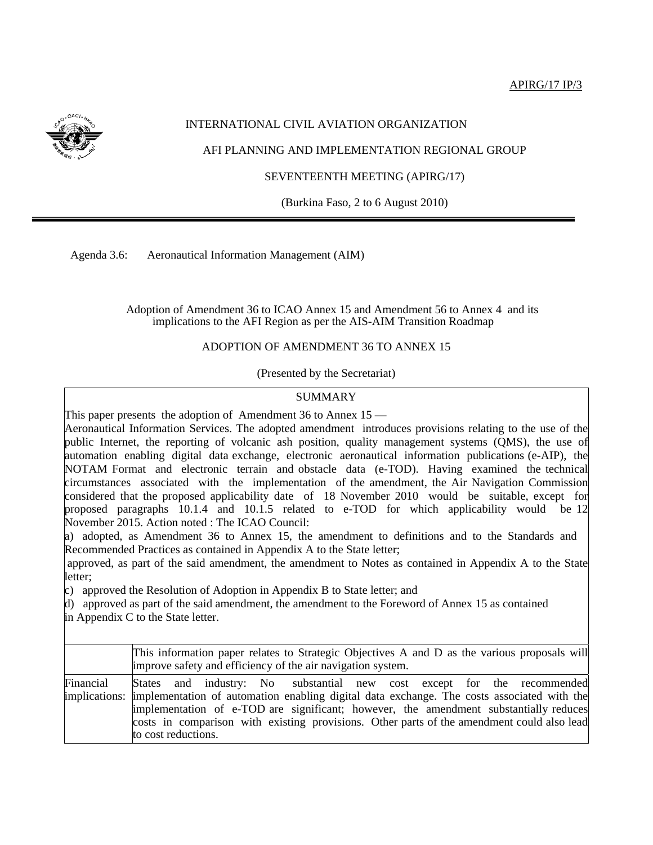

# INTERNATIONAL CIVIL AVIATION ORGANIZATION

AFI PLANNING AND IMPLEMENTATION REGIONAL GROUP

SEVENTEENTH MEETING (APIRG/17)

(Burkina Faso, 2 to 6 August 2010)

Agenda 3.6: Aeronautical Information Management (AIM)

 Adoption of Amendment 36 to ICAO Annex 15 and Amendment 56 to Annex 4 and its implications to the AFI Region as per the AIS-AIM Transition Roadmap

### ADOPTION OF AMENDMENT 36 TO ANNEX 15

(Presented by the Secretariat)

### SUMMARY

This paper presents the adoption of Amendment 36 to Annex  $15$  —

Aeronautical Information Services. The adopted amendment introduces provisions relating to the use of the public Internet, the reporting of volcanic ash position, quality management systems (QMS), the use of automation enabling digital data exchange, electronic aeronautical information publications (e-AIP), the NOTAM Format and electronic terrain and obstacle data (e-TOD). Having examined the technical circumstances associated with the implementation of the amendment, the Air Navigation Commission considered that the proposed applicability date of 18 November 2010 would be suitable, except for proposed paragraphs 10.1.4 and 10.1.5 related to e-TOD for which applicability would be 12 November 2015. Action noted : The ICAO Council:

a) adopted, as Amendment 36 to Annex 15, the amendment to definitions and to the Standards and Recommended Practices as contained in Appendix A to the State letter;

approved, as part of the said amendment, the amendment to Notes as contained in Appendix A to the State letter;

c) approved the Resolution of Adoption in Appendix B to State letter; and

d) approved as part of the said amendment, the amendment to the Foreword of Annex 15 as contained

in Appendix C to the State letter.

|           | This information paper relates to Strategic Objectives A and D as the various proposals will<br>improve safety and efficiency of the air navigation system.                                                                                                                                                                                                                                       |  |  |  |  |
|-----------|---------------------------------------------------------------------------------------------------------------------------------------------------------------------------------------------------------------------------------------------------------------------------------------------------------------------------------------------------------------------------------------------------|--|--|--|--|
| Financial | States and industry: No substantial new cost except for the recommended<br>implications: implementation of automation enabling digital data exchange. The costs associated with the<br>implementation of e-TOD are significant; however, the amendment substantially reduces<br>costs in comparison with existing provisions. Other parts of the amendment could also lead<br>to cost reductions. |  |  |  |  |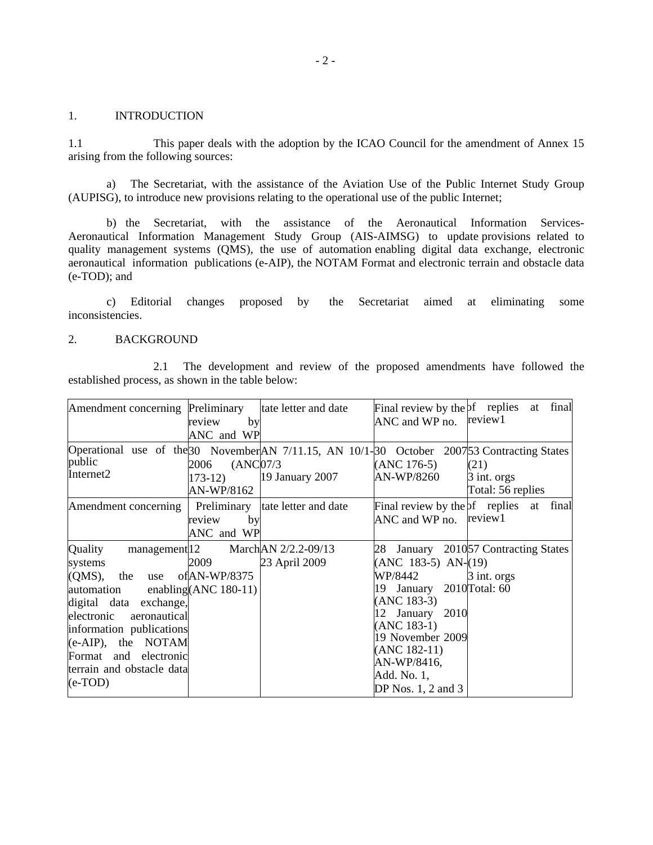#### 1. INTRODUCTION

1.1 This paper deals with the adoption by the ICAO Council for the amendment of Annex 15 arising from the following sources:

a) The Secretariat, with the assistance of the Aviation Use of the Public Internet Study Group (AUPISG), to introduce new provisions relating to the operational use of the public Internet;

b) the Secretariat, with the assistance of the Aeronautical Information Services-Aeronautical Information Management Study Group (AIS-AIMSG) to update provisions related to quality management systems (QMS), the use of automation enabling digital data exchange, electronic aeronautical information publications (e-AIP), the NOTAM Format and electronic terrain and obstacle data (e-TOD); and

c) Editorial changes proposed by the Secretariat aimed at eliminating some inconsistencies.

#### 2. BACKGROUND

 2.1 The development and review of the proposed amendments have followed the established process, as shown in the table below:

| Amendment concerning Preliminary tate letter and date                                                                                                                                                                                        | review<br>by                                       |                                                     | Final review by the pf replies at<br>ANC and WP no.                                                                                                                                               | final<br>review1                                                                  |
|----------------------------------------------------------------------------------------------------------------------------------------------------------------------------------------------------------------------------------------------|----------------------------------------------------|-----------------------------------------------------|---------------------------------------------------------------------------------------------------------------------------------------------------------------------------------------------------|-----------------------------------------------------------------------------------|
|                                                                                                                                                                                                                                              | ANC and WP                                         |                                                     |                                                                                                                                                                                                   |                                                                                   |
| Operational use of the 30 November AN 7/11.15, AN 10/1-30 October 2007 53 Contracting States<br>public<br>Internet2                                                                                                                          | (ANC07/3)<br>2006<br>$173-12)$<br>AN-WP/8162       | 19 January 2007                                     | $(ANC 176-5)$<br>AN-WP/8260                                                                                                                                                                       | (21)<br>3 int. orgs<br>Total: 56 replies                                          |
| Amendment concerning                                                                                                                                                                                                                         | by<br>review<br>ANC and WP                         | Preliminary tate letter and date                    | Final review by the $pf$ replies at<br>ANC and WP no.                                                                                                                                             | final<br>review1                                                                  |
| Quality<br>systems<br>$(QMS)$ , the<br>use<br>automation<br>digital data exchange,<br>electronic<br>aeronautical<br>information publications<br>$(e-AIP)$ , the NOTAM<br>Format and electronic<br>terrain and obstacle data<br>$(e$ -TOD $)$ | 2009<br>of $AN-WP/8375$<br>enabling(ANC $180-11$ ) | management 12 March AN 2/2.2-09/13<br>23 April 2009 | $(ANC 183-5) AN-(19)$<br>WP/8442<br>19 January<br>$(ANC 183-3)$<br>12 January 2010<br>$(ANC 183-1)$<br>19 November 2009<br>$(ANC 182-11)$<br>AN-WP/8416,<br>Add. No. 1,<br>DP Nos. $1, 2$ and $3$ | 28 January 2010 <sup>57</sup> Contracting States<br>3 int. orgs<br>2010 Total: 60 |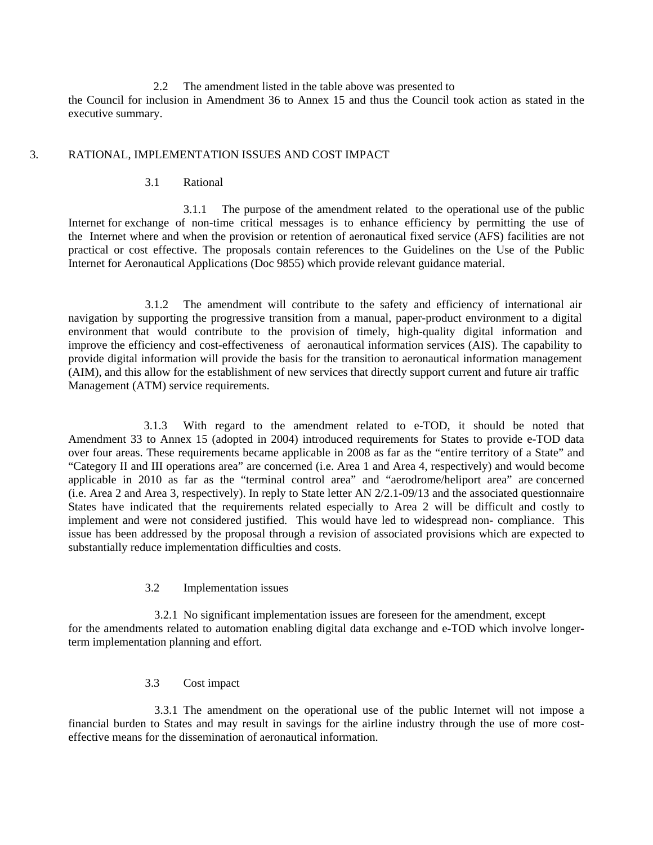2.2 The amendment listed in the table above was presented to the Council for inclusion in Amendment 36 to Annex 15 and thus the Council took action as stated in the executive summary.

#### 3. RATIONAL, IMPLEMENTATION ISSUES AND COST IMPACT

#### 3.1 Rational

 3.1.1 The purpose of the amendment related to the operational use of the public Internet for exchange of non-time critical messages is to enhance efficiency by permitting the use of the Internet where and when the provision or retention of aeronautical fixed service (AFS) facilities are not practical or cost effective. The proposals contain references to the Guidelines on the Use of the Public Internet for Aeronautical Applications (Doc 9855) which provide relevant guidance material.

 3.1.2 The amendment will contribute to the safety and efficiency of international air navigation by supporting the progressive transition from a manual, paper-product environment to a digital environment that would contribute to the provision of timely, high-quality digital information and improve the efficiency and cost-effectiveness of aeronautical information services (AIS). The capability to provide digital information will provide the basis for the transition to aeronautical information management (AIM), and this allow for the establishment of new services that directly support current and future air traffic Management (ATM) service requirements.

 3.1.3 With regard to the amendment related to e-TOD, it should be noted that Amendment 33 to Annex 15 (adopted in 2004) introduced requirements for States to provide e-TOD data over four areas. These requirements became applicable in 2008 as far as the "entire territory of a State" and "Category II and III operations area" are concerned (i.e. Area 1 and Area 4, respectively) and would become applicable in 2010 as far as the "terminal control area" and "aerodrome/heliport area" are concerned (i.e. Area 2 and Area 3, respectively). In reply to State letter AN 2/2.1-09/13 and the associated questionnaire States have indicated that the requirements related especially to Area 2 will be difficult and costly to implement and were not considered justified. This would have led to widespread non- compliance. This issue has been addressed by the proposal through a revision of associated provisions which are expected to substantially reduce implementation difficulties and costs.

# 3.2 Implementation issues

 3.2.1 No significant implementation issues are foreseen for the amendment, except for the amendments related to automation enabling digital data exchange and e-TOD which involve longerterm implementation planning and effort.

# 3.3 Cost impact

 3.3.1 The amendment on the operational use of the public Internet will not impose a financial burden to States and may result in savings for the airline industry through the use of more costeffective means for the dissemination of aeronautical information.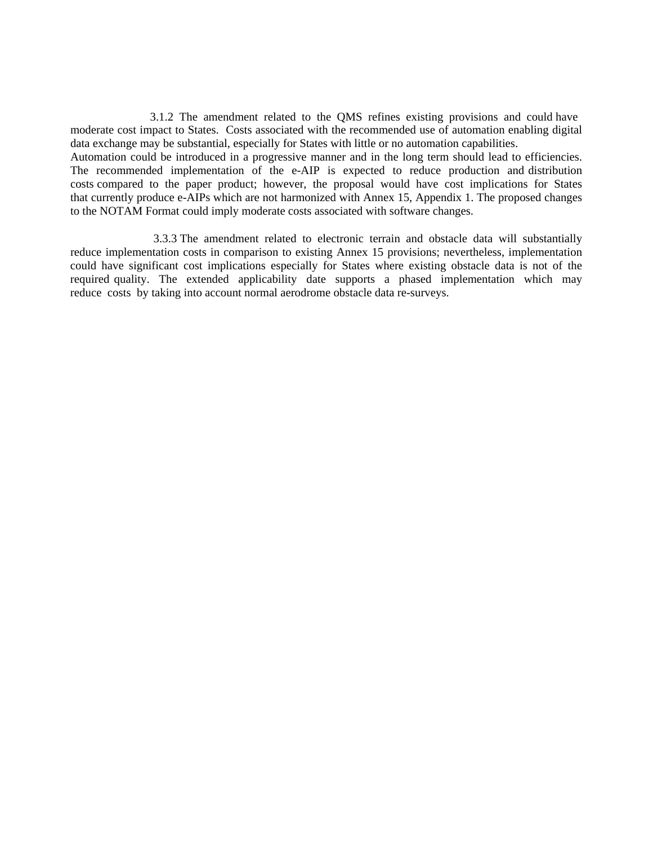3.1.2 The amendment related to the QMS refines existing provisions and could have moderate cost impact to States. Costs associated with the recommended use of automation enabling digital data exchange may be substantial, especially for States with little or no automation capabilities.

Automation could be introduced in a progressive manner and in the long term should lead to efficiencies. The recommended implementation of the e-AIP is expected to reduce production and distribution costs compared to the paper product; however, the proposal would have cost implications for States that currently produce e-AIPs which are not harmonized with Annex 15, Appendix 1. The proposed changes to the NOTAM Format could imply moderate costs associated with software changes.

 3.3.3 The amendment related to electronic terrain and obstacle data will substantially reduce implementation costs in comparison to existing Annex 15 provisions; nevertheless, implementation could have significant cost implications especially for States where existing obstacle data is not of the required quality. The extended applicability date supports a phased implementation which may reduce costs by taking into account normal aerodrome obstacle data re-surveys.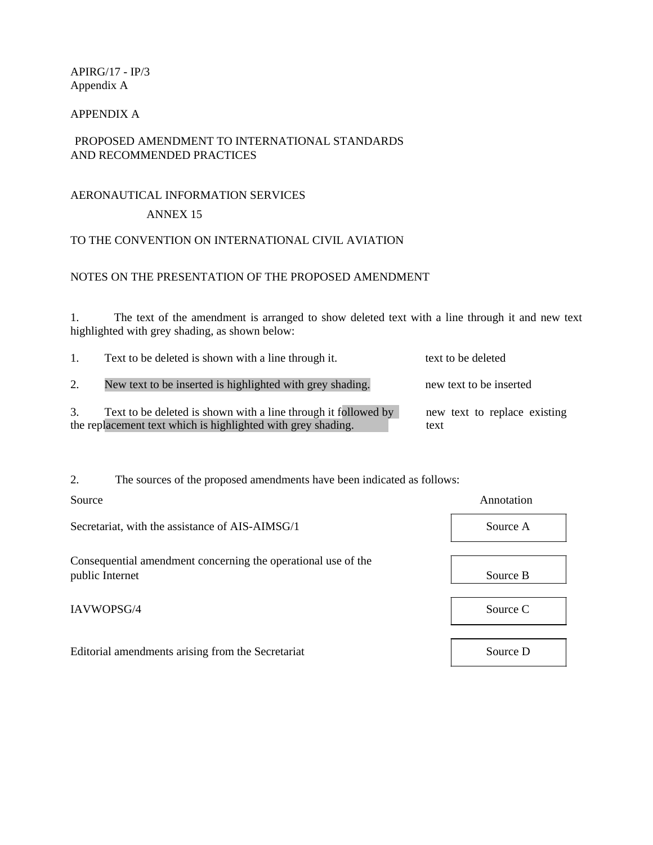APIRG/17 - IP/3 Appendix A

# APPENDIX A

# PROPOSED AMENDMENT TO INTERNATIONAL STANDARDS AND RECOMMENDED PRACTICES

# AERONAUTICAL INFORMATION SERVICES

# ANNEX 15

# TO THE CONVENTION ON INTERNATIONAL CIVIL AVIATION

# NOTES ON THE PRESENTATION OF THE PROPOSED AMENDMENT

1. The text of the amendment is arranged to show deleted text with a line through it and new text highlighted with grey shading, as shown below:

| 1. | Text to be deleted is shown with a line through it.                                                                            | text to be deleted                   |
|----|--------------------------------------------------------------------------------------------------------------------------------|--------------------------------------|
|    | New text to be inserted is highlighted with grey shading.                                                                      | new text to be inserted              |
|    | Text to be deleted is shown with a line through it followed by<br>the replacement text which is highlighted with grey shading. | new text to replace existing<br>text |

2. The sources of the proposed amendments have been indicated as follows:

| Source                                                        | Annotation |
|---------------------------------------------------------------|------------|
| Secretariat, with the assistance of AIS-AIMSG/1               | Source A   |
| Consequential amendment concerning the operational use of the |            |
| public Internet                                               | Source B   |
| IAVWOPSG/4                                                    | Source C   |
|                                                               |            |
| Editorial amendments arising from the Secretariat             | Source D   |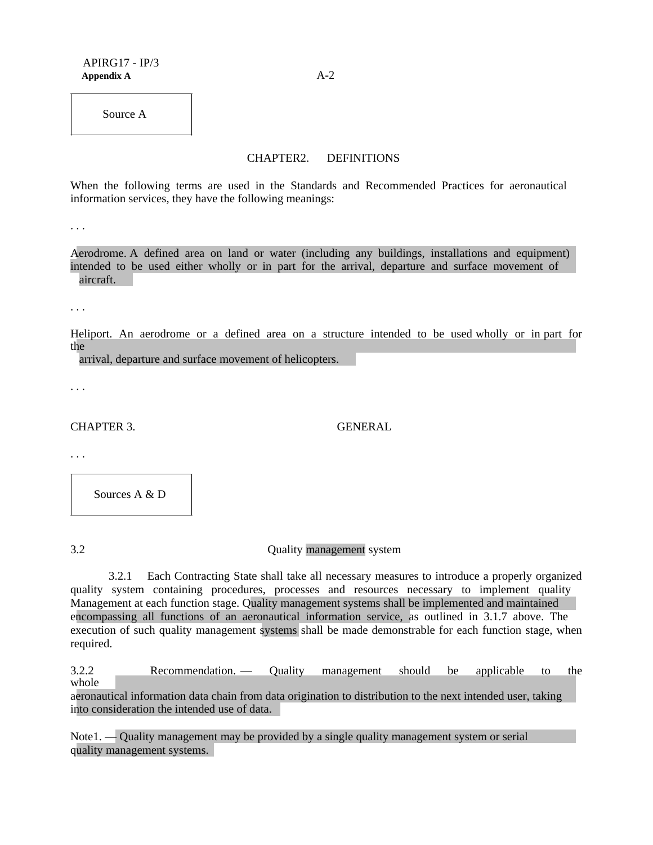Source A

#### CHAPTER2. DEFINITIONS

When the following terms are used in the Standards and Recommended Practices for aeronautical information services, they have the following meanings:

. . .

Aerodrome. A defined area on land or water (including any buildings, installations and equipment) intended to be used either wholly or in part for the arrival, departure and surface movement of aircraft.

. . .

Heliport. An aerodrome or a defined area on a structure intended to be used wholly or in part for the

arrival, departure and surface movement of helicopters.

. . .

CHAPTER 3. GENERAL

. . .

Sources A & D

3.2 Quality management system

3.2.1 Each Contracting State shall take all necessary measures to introduce a properly organized quality system containing procedures, processes and resources necessary to implement quality Management at each function stage. Quality management systems shall be implemented and maintained encompassing all functions of an aeronautical information service, as outlined in 3.1.7 above. The execution of such quality management systems shall be made demonstrable for each function stage, when required.

3.2.2 Recommendation. — Quality management should be applicable to the whole

aeronautical information data chain from data origination to distribution to the next intended user, taking into consideration the intended use of data.

Note1. — Quality management may be provided by a single quality management system or serial quality management systems.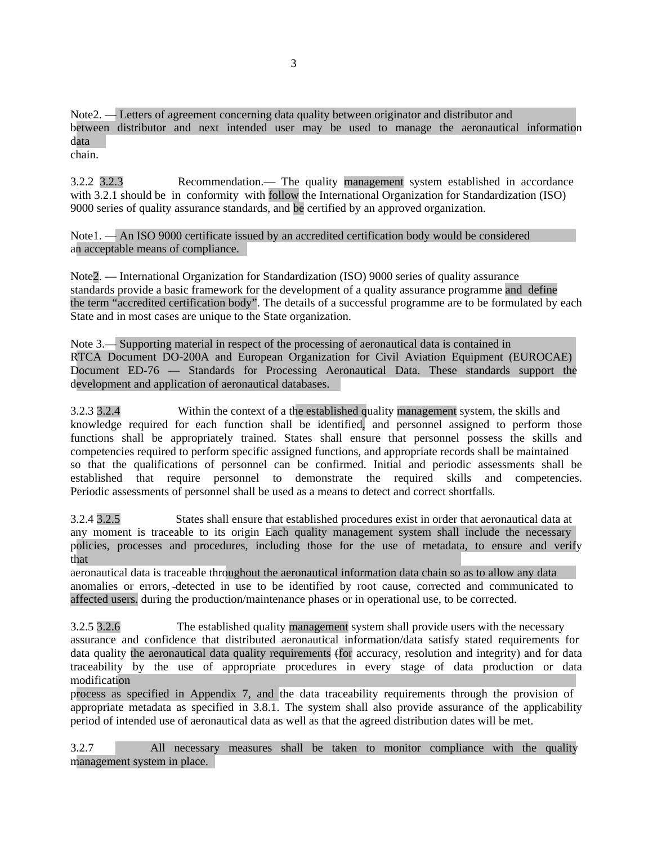Note2. — Letters of agreement concerning data quality between originator and distributor and between distributor and next intended user may be used to manage the aeronautical information data chain.

3.2.2 3.2.3 Recommendation.— The quality management system established in accordance with 3.2.1 should be in conformity with follow the International Organization for Standardization (ISO) 9000 series of quality assurance standards, and be certified by an approved organization.

Note1. — An ISO 9000 certificate issued by an accredited certification body would be considered an acceptable means of compliance.

Note2. — International Organization for Standardization (ISO) 9000 series of quality assurance standards provide a basic framework for the development of a quality assurance programme and define the term "accredited certification body". The details of a successful programme are to be formulated by each State and in most cases are unique to the State organization.

Note 3.— Supporting material in respect of the processing of aeronautical data is contained in RTCA Document DO-200A and European Organization for Civil Aviation Equipment (EUROCAE) Document ED-76 — Standards for Processing Aeronautical Data. These standards support the development and application of aeronautical databases.

3.2.3 3.2.4 Within the context of a the established quality management system, the skills and knowledge required for each function shall be identified, and personnel assigned to perform those functions shall be appropriately trained. States shall ensure that personnel possess the skills and competencies required to perform specific assigned functions, and appropriate records shall be maintained so that the qualifications of personnel can be confirmed. Initial and periodic assessments shall be established that require personnel to demonstrate the required skills and competencies. Periodic assessments of personnel shall be used as a means to detect and correct shortfalls.

3.2.4 3.2.5 States shall ensure that established procedures exist in order that aeronautical data at any moment is traceable to its origin Each quality management system shall include the necessary policies, processes and procedures, including those for the use of metadata, to ensure and verify that

aeronautical data is traceable throughout the aeronautical information data chain so as to allow any data anomalies or errors, detected in use to be identified by root cause, corrected and communicated to affected users. during the production/maintenance phases or in operational use, to be corrected.

3.2.5 3.2.6 The established quality management system shall provide users with the necessary assurance and confidence that distributed aeronautical information/data satisfy stated requirements for data quality the aeronautical data quality requirements (for accuracy, resolution and integrity) and for data traceability by the use of appropriate procedures in every stage of data production or data modification

process as specified in Appendix 7, and the data traceability requirements through the provision of appropriate metadata as specified in 3.8.1. The system shall also provide assurance of the applicability period of intended use of aeronautical data as well as that the agreed distribution dates will be met.

3.2.7 All necessary measures shall be taken to monitor compliance with the quality management system in place.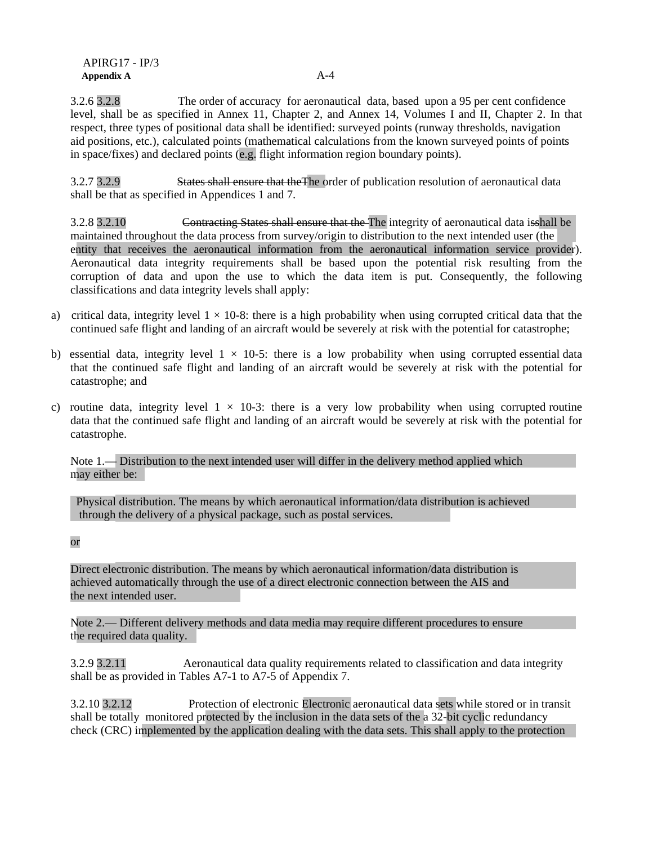3.2.6 3.2.8 The order of accuracy for aeronautical data, based upon a 95 per cent confidence level, shall be as specified in Annex 11, Chapter 2, and Annex 14, Volumes I and II, Chapter 2. In that respect, three types of positional data shall be identified: surveyed points (runway thresholds, navigation aid positions, etc.), calculated points (mathematical calculations from the known surveyed points of points in space/fixes) and declared points (e.g. flight information region boundary points).

3.2.7 3.2.9 States shall ensure that theThe order of publication resolution of aeronautical data shall be that as specified in Appendices 1 and 7.

3.2.8 3.2.10 Contracting States shall ensure that the The integrity of aeronautical data isshall be maintained throughout the data process from survey/origin to distribution to the next intended user (the entity that receives the aeronautical information from the aeronautical information service provider). Aeronautical data integrity requirements shall be based upon the potential risk resulting from the corruption of data and upon the use to which the data item is put. Consequently, the following classifications and data integrity levels shall apply:

- a) critical data, integrity level  $1 \times 10^{-8}$ : there is a high probability when using corrupted critical data that the continued safe flight and landing of an aircraft would be severely at risk with the potential for catastrophe;
- b) essential data, integrity level  $1 \times 10^{-5}$ : there is a low probability when using corrupted essential data that the continued safe flight and landing of an aircraft would be severely at risk with the potential for catastrophe; and
- c) routine data, integrity level  $1 \times 10^{-3}$ ; there is a very low probability when using corrupted routine data that the continued safe flight and landing of an aircraft would be severely at risk with the potential for catastrophe.

Note 1.— Distribution to the next intended user will differ in the delivery method applied which may either be:

 Physical distribution. The means by which aeronautical information/data distribution is achieved through the delivery of a physical package, such as postal services.

#### or

Direct electronic distribution. The means by which aeronautical information/data distribution is achieved automatically through the use of a direct electronic connection between the AIS and the next intended user.

Note 2.— Different delivery methods and data media may require different procedures to ensure the required data quality.

3.2.9 3.2.11 Aeronautical data quality requirements related to classification and data integrity shall be as provided in Tables A7-1 to A7-5 of Appendix 7.

3.2.10 3.2.12 Protection of electronic Electronic aeronautical data sets while stored or in transit shall be totally monitored protected by the inclusion in the data sets of the a 32-bit cyclic redundancy check (CRC) implemented by the application dealing with the data sets. This shall apply to the protection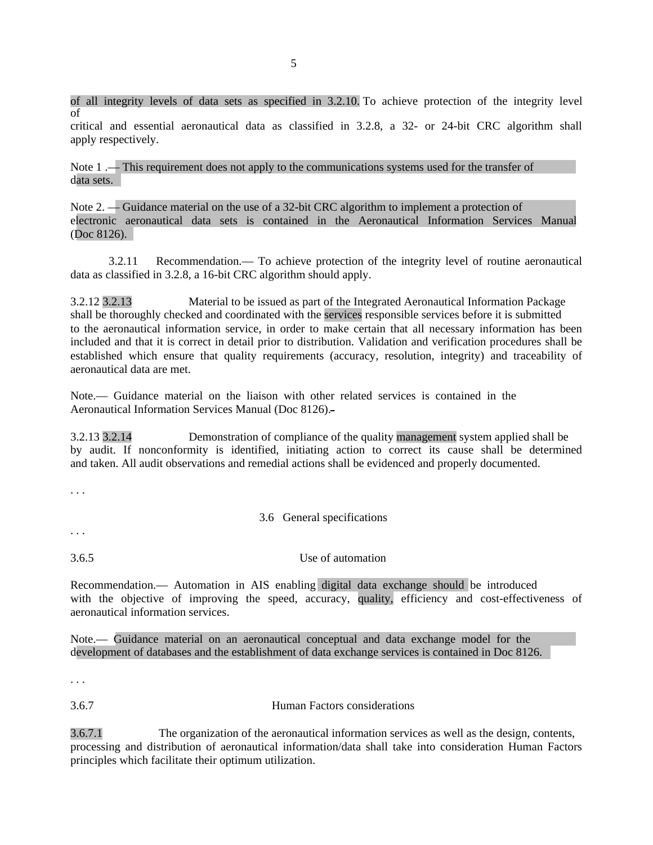of all integrity levels of data sets as specified in 3.2.10. To achieve protection of the integrity level of critical and essential aeronautical data as classified in 3.2.8, a 32- or 24-bit CRC algorithm shall apply respectively.

Note 1 .— This requirement does not apply to the communications systems used for the transfer of data sets.

Note 2. — Guidance material on the use of a 32-bit CRC algorithm to implement a protection of electronic aeronautical data sets is contained in the Aeronautical Information Services Manual (Doc 8126).

3.2.11 Recommendation.— To achieve protection of the integrity level of routine aeronautical data as classified in 3.2.8, a 16-bit CRC algorithm should apply.

3.2.12 3.2.13 Material to be issued as part of the Integrated Aeronautical Information Package shall be thoroughly checked and coordinated with the services responsible services before it is submitted to the aeronautical information service, in order to make certain that all necessary information has been included and that it is correct in detail prior to distribution. Validation and verification procedures shall be established which ensure that quality requirements (accuracy, resolution, integrity) and traceability of aeronautical data are met.

Note.— Guidance material on the liaison with other related services is contained in the Aeronautical Information Services Manual (Doc 8126).

3.2.13 3.2.14 Demonstration of compliance of the quality management system applied shall be by audit. If nonconformity is identified, initiating action to correct its cause shall be determined and taken. All audit observations and remedial actions shall be evidenced and properly documented.

. . .

3.6 General specifications

. . .

3.6.5 Use of automation

Recommendation.— Automation in AIS enabling digital data exchange should be introduced with the objective of improving the speed, accuracy, quality, efficiency and cost-effectiveness of aeronautical information services.

Note.— Guidance material on an aeronautical conceptual and data exchange model for the development of databases and the establishment of data exchange services is contained in Doc 8126.

. . .

3.6.7 Human Factors considerations

3.6.7.1 The organization of the aeronautical information services as well as the design, contents, processing and distribution of aeronautical information/data shall take into consideration Human Factors principles which facilitate their optimum utilization.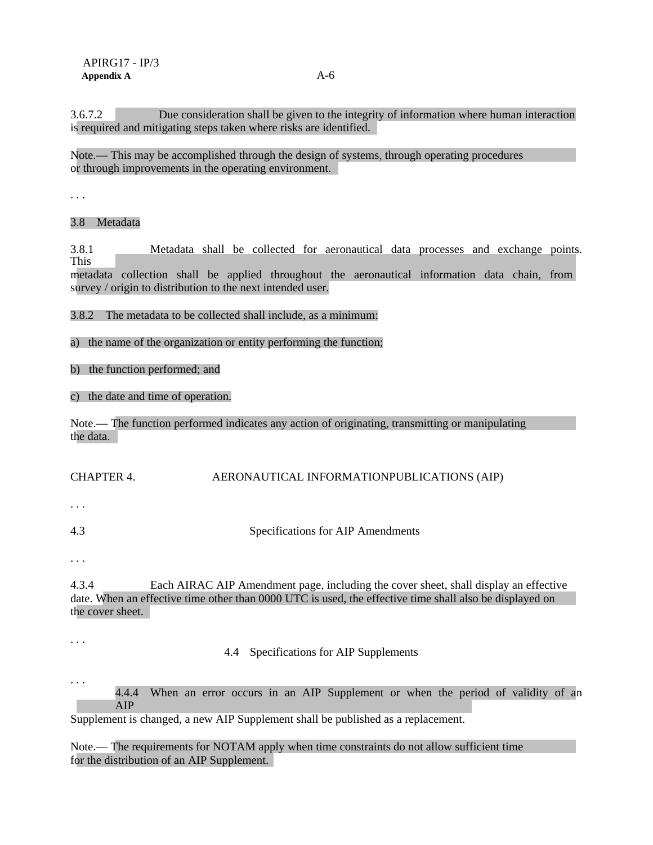3.6.7.2 Due consideration shall be given to the integrity of information where human interaction is required and mitigating steps taken where risks are identified.

Note.— This may be accomplished through the design of systems, through operating procedures or through improvements in the operating environment.

. . .

3.8 Metadata

3.8.1 Metadata shall be collected for aeronautical data processes and exchange points. This

metadata collection shall be applied throughout the aeronautical information data chain, from survey / origin to distribution to the next intended user.

3.8.2 The metadata to be collected shall include, as a minimum:

a) the name of the organization or entity performing the function;

b) the function performed; and

c) the date and time of operation.

Note.— The function performed indicates any action of originating, transmitting or manipulating the data.

### CHAPTER 4. AERONAUTICAL INFORMATIONPUBLICATIONS (AIP)

. . .

4.3 Specifications for AIP Amendments

. . .

4.3.4 Each AIRAC AIP Amendment page, including the cover sheet, shall display an effective date. When an effective time other than 0000 UTC is used, the effective time shall also be displayed on the cover sheet.

. . .

4.4 Specifications for AIP Supplements

. . . 4.4.4 When an error occurs in an AIP Supplement or when the period of validity of an AIP

Supplement is changed, a new AIP Supplement shall be published as a replacement.

Note.— The requirements for NOTAM apply when time constraints do not allow sufficient time for the distribution of an AIP Supplement.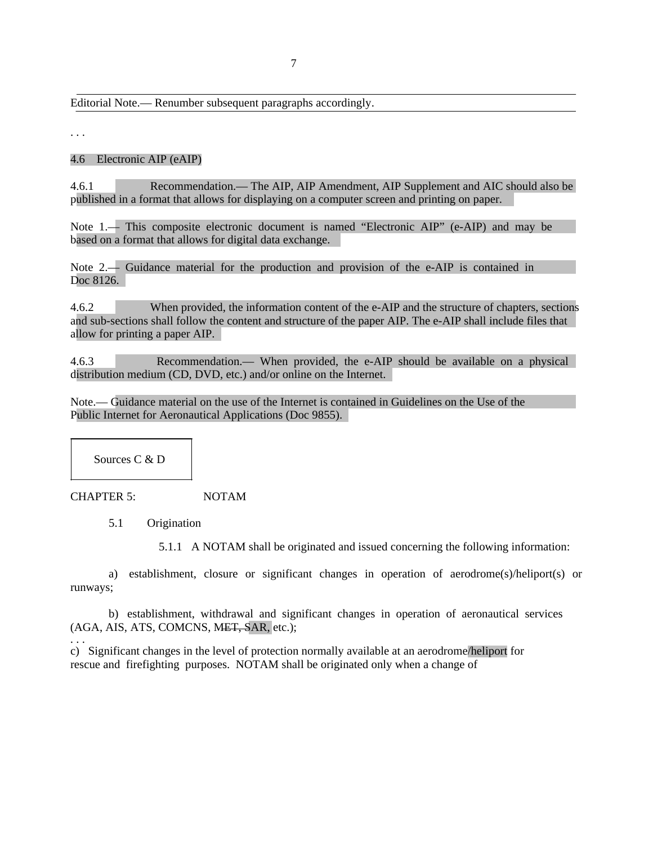Editorial Note.— Renumber subsequent paragraphs accordingly.

. . .

#### 4.6 Electronic AIP (eAIP)

4.6.1 Recommendation.— The AIP, AIP Amendment, AIP Supplement and AIC should also be published in a format that allows for displaying on a computer screen and printing on paper.

Note 1.— This composite electronic document is named "Electronic AIP" (e-AIP) and may be based on a format that allows for digital data exchange.

Note 2.— Guidance material for the production and provision of the e-AIP is contained in Doc 8126.

4.6.2 When provided, the information content of the e-AIP and the structure of chapters, sections and sub-sections shall follow the content and structure of the paper AIP. The e-AIP shall include files that allow for printing a paper AIP.

4.6.3 Recommendation.— When provided, the e-AIP should be available on a physical distribution medium (CD, DVD, etc.) and/or online on the Internet.

Note.— Guidance material on the use of the Internet is contained in Guidelines on the Use of the Public Internet for Aeronautical Applications (Doc 9855).

Sources C & D

CHAPTER 5: NOTAM

5.1 Origination

5.1.1 A NOTAM shall be originated and issued concerning the following information:

a) establishment, closure or significant changes in operation of aerodrome(s)/heliport(s) or runways;

b) establishment, withdrawal and significant changes in operation of aeronautical services (AGA, AIS, ATS, COMCNS, MET, SAR, etc.);

. . . c) Significant changes in the level of protection normally available at an aerodrome/heliport for rescue and firefighting purposes. NOTAM shall be originated only when a change of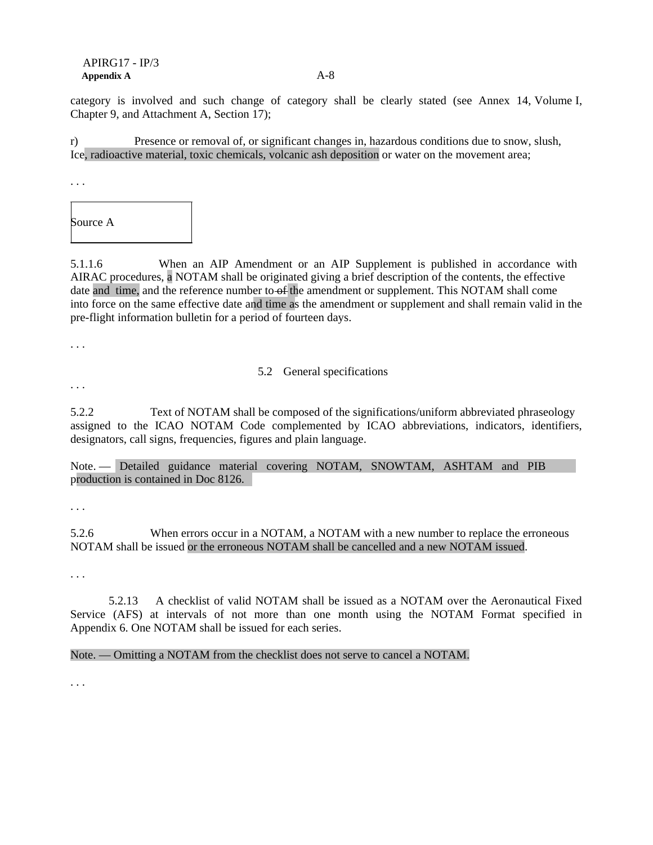#### APIRG17 - IP/3 **Appendix A** A-8

category is involved and such change of category shall be clearly stated (see Annex 14, Volume I, Chapter 9, and Attachment A, Section 17);

r) Presence or removal of, or significant changes in, hazardous conditions due to snow, slush, Ice, radioactive material, toxic chemicals, volcanic ash deposition or water on the movement area;

. . .

Source A

5.1.1.6 When an AIP Amendment or an AIP Supplement is published in accordance with AIRAC procedures, a NOTAM shall be originated giving a brief description of the contents, the effective date and time, and the reference number to of the amendment or supplement. This NOTAM shall come into force on the same effective date and time as the amendment or supplement and shall remain valid in the pre-flight information bulletin for a period of fourteen days.

. . .

### 5.2 General specifications

. . .

5.2.2 Text of NOTAM shall be composed of the significations/uniform abbreviated phraseology assigned to the ICAO NOTAM Code complemented by ICAO abbreviations, indicators, identifiers, designators, call signs, frequencies, figures and plain language.

Note. — Detailed guidance material covering NOTAM, SNOWTAM, ASHTAM and PIB production is contained in Doc 8126.

. . .

5.2.6 When errors occur in a NOTAM, a NOTAM with a new number to replace the erroneous NOTAM shall be issued or the erroneous NOTAM shall be cancelled and a new NOTAM issued.

. . .

5.2.13 A checklist of valid NOTAM shall be issued as a NOTAM over the Aeronautical Fixed Service (AFS) at intervals of not more than one month using the NOTAM Format specified in Appendix 6. One NOTAM shall be issued for each series.

Note. — Omitting a NOTAM from the checklist does not serve to cancel a NOTAM.

. . .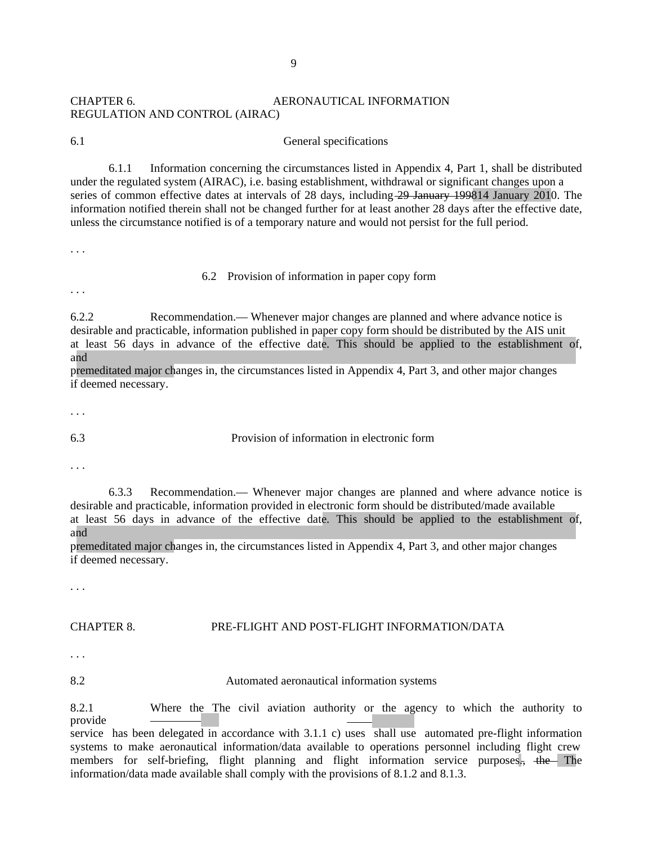### CHAPTER 6. **AERONAUTICAL INFORMATION** REGULATION AND CONTROL (AIRAC)

6.1 General specifications

6.1.1 Information concerning the circumstances listed in Appendix 4, Part 1, shall be distributed under the regulated system (AIRAC), i.e. basing establishment, withdrawal or significant changes upon a series of common effective dates at intervals of 28 days, including 29 January 199814 January 2010. The information notified therein shall not be changed further for at least another 28 days after the effective date, unless the circumstance notified is of a temporary nature and would not persist for the full period.

. . .

#### 6.2 Provision of information in paper copy form

. . .

6.2.2 Recommendation.— Whenever major changes are planned and where advance notice is desirable and practicable, information published in paper copy form should be distributed by the AIS unit at least 56 days in advance of the effective date. This should be applied to the establishment of, and

premeditated major changes in, the circumstances listed in Appendix 4, Part 3, and other major changes if deemed necessary.

. . .

6.3 Provision of information in electronic form

. . .

6.3.3 Recommendation.— Whenever major changes are planned and where advance notice is desirable and practicable, information provided in electronic form should be distributed/made available at least 56 days in advance of the effective date. This should be applied to the establishment of, and

premeditated major changes in, the circumstances listed in Appendix 4, Part 3, and other major changes if deemed necessary.

. . .

#### CHAPTER 8. PRE-FLIGHT AND POST-FLIGHT INFORMATION/DATA

. . .

8.2 Automated aeronautical information systems

8.2.1 Where the The civil aviation authority or the agency to which the authority to provide service has been delegated in accordance with  $3.1.1$  c) uses shall use automated pre-flight information systems to make aeronautical information/data available to operations personnel including flight crew members for self-briefing, flight planning and flight information service purposes., the The information/data made available shall comply with the provisions of 8.1.2 and 8.1.3.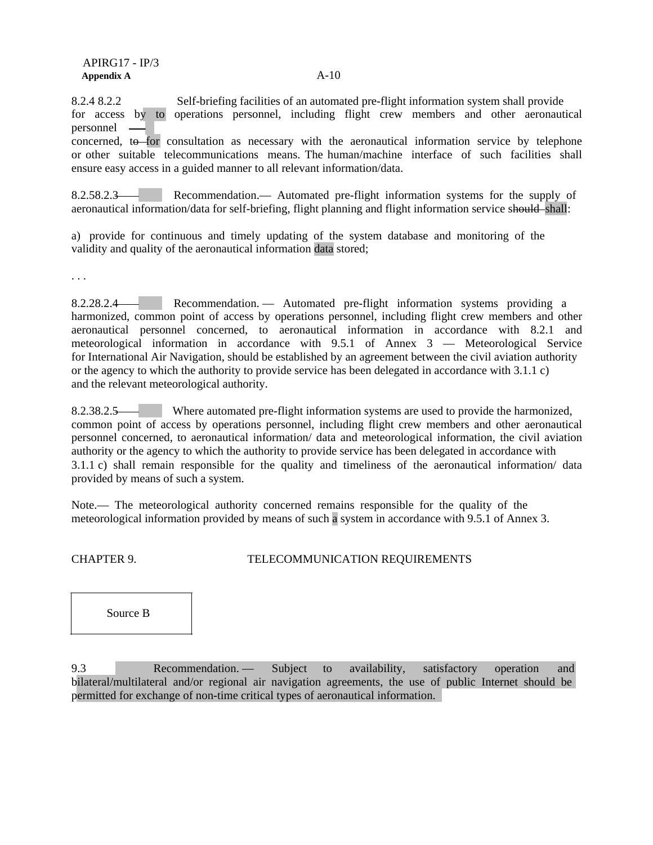8.2.4 8.2.2 Self-briefing facilities of an automated pre-flight information system shall provide for access by to operations personnel, including flight crew members and other aeronautical personnel

concerned, to for consultation as necessary with the aeronautical information service by telephone or other suitable telecommunications means. The human/machine interface of such facilities shall ensure easy access in a guided manner to all relevant information/data.

8.2.58.2.3 Recommendation.— Automated pre-flight information systems for the supply of aeronautical information/data for self-briefing, flight planning and flight information service should shall:

a) provide for continuous and timely updating of the system database and monitoring of the validity and quality of the aeronautical information data stored;

. . .

8.2.28.2.4 Recommendation. — Automated pre-flight information systems providing a harmonized, common point of access by operations personnel, including flight crew members and other aeronautical personnel concerned, to aeronautical information in accordance with 8.2.1 and meteorological information in accordance with 9.5.1 of Annex 3 — Meteorological Service for International Air Navigation, should be established by an agreement between the civil aviation authority or the agency to which the authority to provide service has been delegated in accordance with 3.1.1 c) and the relevant meteorological authority.

8.2.38.2.5 Where automated pre-flight information systems are used to provide the harmonized, common point of access by operations personnel, including flight crew members and other aeronautical personnel concerned, to aeronautical information/ data and meteorological information, the civil aviation authority or the agency to which the authority to provide service has been delegated in accordance with 3.1.1 c) shall remain responsible for the quality and timeliness of the aeronautical information/ data provided by means of such a system.

Note.— The meteorological authority concerned remains responsible for the quality of the meteorological information provided by means of such a system in accordance with 9.5.1 of Annex 3.

### CHAPTER 9. TELECOMMUNICATION REQUIREMENTS

Source B

9.3 Recommendation. — Subject to availability, satisfactory operation and bilateral/multilateral and/or regional air navigation agreements, the use of public Internet should be permitted for exchange of non-time critical types of aeronautical information.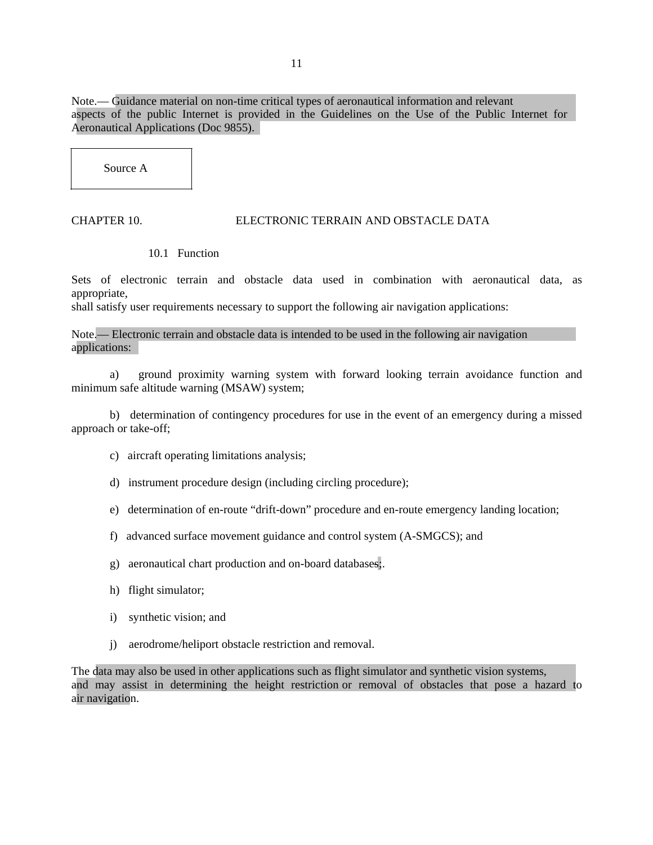Note.— Guidance material on non-time critical types of aeronautical information and relevant aspects of the public Internet is provided in the Guidelines on the Use of the Public Internet for Aeronautical Applications (Doc 9855).

Source A

### CHAPTER 10. ELECTRONIC TERRAIN AND OBSTACLE DATA

#### 10.1 Function

Sets of electronic terrain and obstacle data used in combination with aeronautical data, as appropriate,

shall satisfy user requirements necessary to support the following air navigation applications:

Note.— Electronic terrain and obstacle data is intended to be used in the following air navigation applications:

a) ground proximity warning system with forward looking terrain avoidance function and minimum safe altitude warning (MSAW) system;

b) determination of contingency procedures for use in the event of an emergency during a missed approach or take-off;

- c) aircraft operating limitations analysis;
- d) instrument procedure design (including circling procedure);
- e) determination of en-route "drift-down" procedure and en-route emergency landing location;
- f) advanced surface movement guidance and control system (A-SMGCS); and
- g) aeronautical chart production and on-board databases;.
- h) flight simulator;
- i) synthetic vision; and
- j) aerodrome/heliport obstacle restriction and removal.

The data may also be used in other applications such as flight simulator and synthetic vision systems, and may assist in determining the height restriction or removal of obstacles that pose a hazard to air navigation.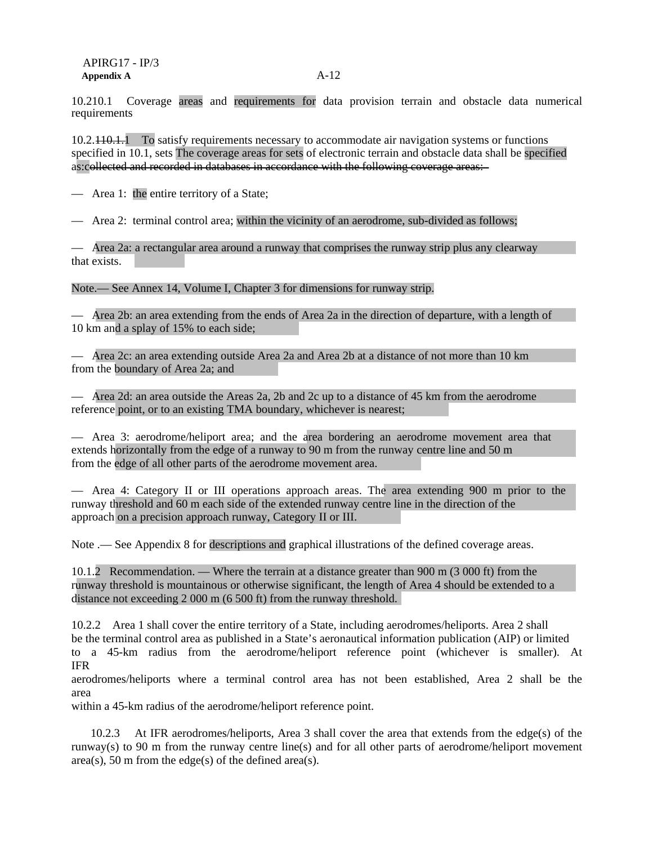10.210.1 Coverage areas and requirements for data provision terrain and obstacle data numerical requirements

10.2.110.1.1 To satisfy requirements necessary to accommodate air navigation systems or functions specified in 10.1, sets The coverage areas for sets of electronic terrain and obstacle data shall be specified as:collected and recorded in databases in accordance with the following coverage areas:

— Area 1: the entire territory of a State;

— Area 2: terminal control area; within the vicinity of an aerodrome, sub-divided as follows;

— Area 2a: a rectangular area around a runway that comprises the runway strip plus any clearway that exists.

Note.— See Annex 14, Volume I, Chapter 3 for dimensions for runway strip.

— Area 2b: an area extending from the ends of Area 2a in the direction of departure, with a length of 10 km and a splay of 15% to each side;

— Area 2c: an area extending outside Area 2a and Area 2b at a distance of not more than 10 km from the boundary of Area 2a; and

— Area 2d: an area outside the Areas 2a, 2b and 2c up to a distance of 45 km from the aerodrome reference point, or to an existing TMA boundary, whichever is nearest;

— Area 3: aerodrome/heliport area; and the area bordering an aerodrome movement area that extends horizontally from the edge of a runway to 90 m from the runway centre line and 50 m from the edge of all other parts of the aerodrome movement area.

— Area 4: Category II or III operations approach areas. The area extending 900 m prior to the runway threshold and 60 m each side of the extended runway centre line in the direction of the approach on a precision approach runway, Category II or III.

Note .— See Appendix 8 for descriptions and graphical illustrations of the defined coverage areas.

10.1.2 Recommendation. — Where the terrain at a distance greater than 900 m (3 000 ft) from the runway threshold is mountainous or otherwise significant, the length of Area 4 should be extended to a distance not exceeding 2 000 m (6 500 ft) from the runway threshold.

10.2.2 Area 1 shall cover the entire territory of a State, including aerodromes/heliports. Area 2 shall be the terminal control area as published in a State's aeronautical information publication (AIP) or limited to a 45-km radius from the aerodrome/heliport reference point (whichever is smaller). At IFR

aerodromes/heliports where a terminal control area has not been established, Area 2 shall be the area

within a 45-km radius of the aerodrome/heliport reference point.

10.2.3 At IFR aerodromes/heliports, Area 3 shall cover the area that extends from the edge(s) of the runway(s) to 90 m from the runway centre line(s) and for all other parts of aerodrome/heliport movement area(s), 50 m from the edge(s) of the defined area(s).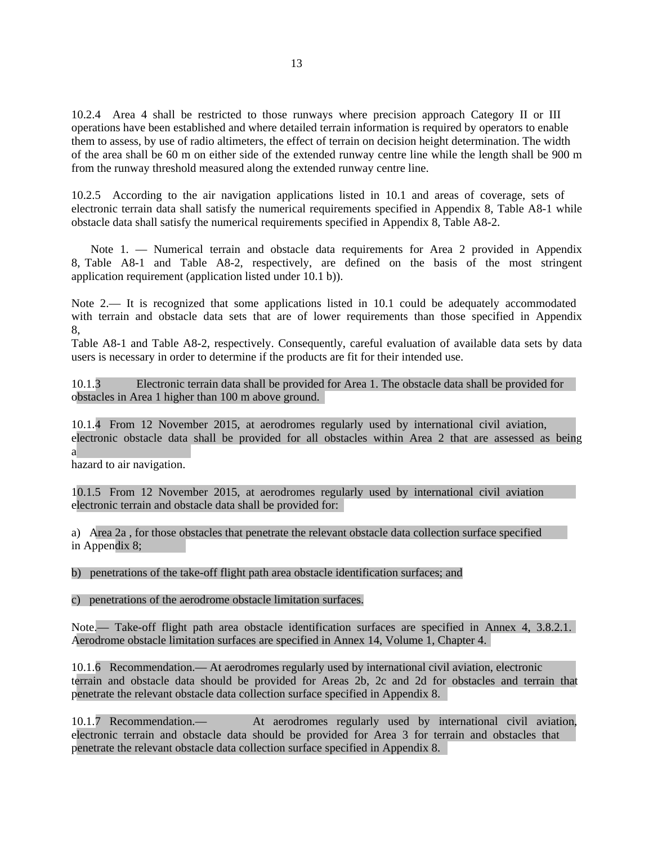10.2.4 Area 4 shall be restricted to those runways where precision approach Category II or III operations have been established and where detailed terrain information is required by operators to enable them to assess, by use of radio altimeters, the effect of terrain on decision height determination. The width of the area shall be 60 m on either side of the extended runway centre line while the length shall be 900 m from the runway threshold measured along the extended runway centre line.

10.2.5 According to the air navigation applications listed in 10.1 and areas of coverage, sets of electronic terrain data shall satisfy the numerical requirements specified in Appendix 8, Table A8-1 while obstacle data shall satisfy the numerical requirements specified in Appendix 8, Table A8-2.

Note 1. — Numerical terrain and obstacle data requirements for Area 2 provided in Appendix 8, Table A8-1 and Table A8-2, respectively, are defined on the basis of the most stringent application requirement (application listed under 10.1 b)).

Note 2.— It is recognized that some applications listed in 10.1 could be adequately accommodated with terrain and obstacle data sets that are of lower requirements than those specified in Appendix 8,

Table A8-1 and Table A8-2, respectively. Consequently, careful evaluation of available data sets by data users is necessary in order to determine if the products are fit for their intended use.

10.1.3 Electronic terrain data shall be provided for Area 1. The obstacle data shall be provided for obstacles in Area 1 higher than 100 m above ground.

10.1.4 From 12 November 2015, at aerodromes regularly used by international civil aviation, electronic obstacle data shall be provided for all obstacles within Area 2 that are assessed as being a

hazard to air navigation.

10.1.5 From 12 November 2015, at aerodromes regularly used by international civil aviation electronic terrain and obstacle data shall be provided for:

a) Area 2a , for those obstacles that penetrate the relevant obstacle data collection surface specified in Appendix 8;

b) penetrations of the take-off flight path area obstacle identification surfaces; and

c) penetrations of the aerodrome obstacle limitation surfaces.

Note.— Take-off flight path area obstacle identification surfaces are specified in Annex 4, 3.8.2.1. Aerodrome obstacle limitation surfaces are specified in Annex 14, Volume 1, Chapter 4.

10.1.6 Recommendation.— At aerodromes regularly used by international civil aviation, electronic terrain and obstacle data should be provided for Areas 2b, 2c and 2d for obstacles and terrain that penetrate the relevant obstacle data collection surface specified in Appendix 8.

10.1.7 Recommendation.— At aerodromes regularly used by international civil aviation, electronic terrain and obstacle data should be provided for Area 3 for terrain and obstacles that penetrate the relevant obstacle data collection surface specified in Appendix 8.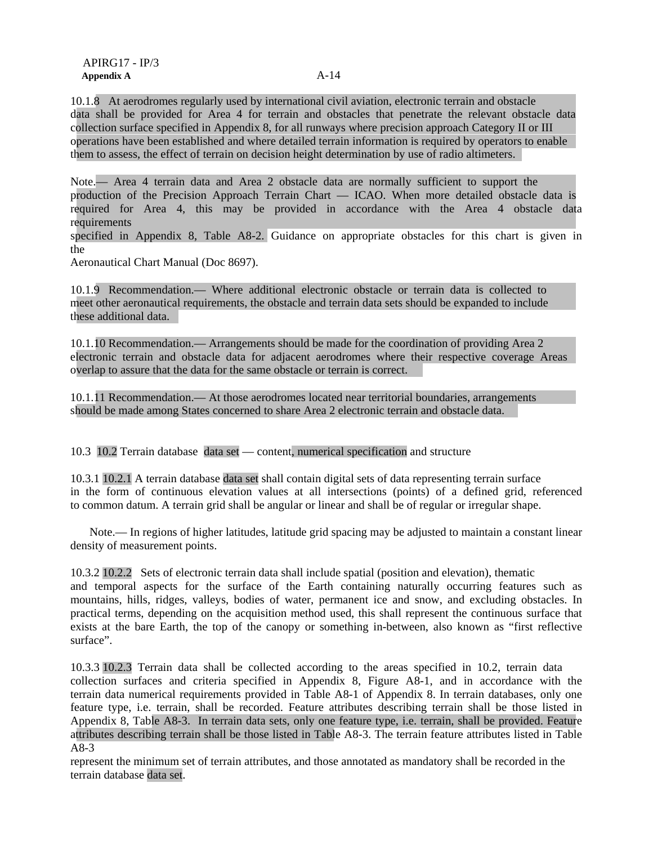10.1.8 At aerodromes regularly used by international civil aviation, electronic terrain and obstacle data shall be provided for Area 4 for terrain and obstacles that penetrate the relevant obstacle data collection surface specified in Appendix 8, for all runways where precision approach Category II or III operations have been established and where detailed terrain information is required by operators to enable them to assess, the effect of terrain on decision height determination by use of radio altimeters.

Note.— Area 4 terrain data and Area 2 obstacle data are normally sufficient to support the production of the Precision Approach Terrain Chart — ICAO. When more detailed obstacle data is required for Area 4, this may be provided in accordance with the Area 4 obstacle data requirements

specified in Appendix 8, Table A8-2. Guidance on appropriate obstacles for this chart is given in the

Aeronautical Chart Manual (Doc 8697).

10.1.9 Recommendation.— Where additional electronic obstacle or terrain data is collected to meet other aeronautical requirements, the obstacle and terrain data sets should be expanded to include these additional data.

10.1.10 Recommendation.— Arrangements should be made for the coordination of providing Area 2 electronic terrain and obstacle data for adjacent aerodromes where their respective coverage Areas overlap to assure that the data for the same obstacle or terrain is correct.

10.1.11 Recommendation.— At those aerodromes located near territorial boundaries, arrangements should be made among States concerned to share Area 2 electronic terrain and obstacle data.

10.3 10.2 Terrain database data set — content, numerical specification and structure

10.3.1 10.2.1 A terrain database data set shall contain digital sets of data representing terrain surface in the form of continuous elevation values at all intersections (points) of a defined grid, referenced to common datum. A terrain grid shall be angular or linear and shall be of regular or irregular shape.

Note.— In regions of higher latitudes, latitude grid spacing may be adjusted to maintain a constant linear density of measurement points.

10.3.2 10.2.2 Sets of electronic terrain data shall include spatial (position and elevation), thematic and temporal aspects for the surface of the Earth containing naturally occurring features such as mountains, hills, ridges, valleys, bodies of water, permanent ice and snow, and excluding obstacles. In practical terms, depending on the acquisition method used, this shall represent the continuous surface that exists at the bare Earth, the top of the canopy or something in-between, also known as "first reflective surface".

10.3.3 10.2.3 Terrain data shall be collected according to the areas specified in 10.2, terrain data collection surfaces and criteria specified in Appendix 8, Figure A8-1, and in accordance with the terrain data numerical requirements provided in Table A8-1 of Appendix 8. In terrain databases, only one feature type, i.e. terrain, shall be recorded. Feature attributes describing terrain shall be those listed in Appendix 8, Table A8-3. In terrain data sets, only one feature type, i.e. terrain, shall be provided. Feature attributes describing terrain shall be those listed in Table A8-3. The terrain feature attributes listed in Table A8-3

represent the minimum set of terrain attributes, and those annotated as mandatory shall be recorded in the terrain database data set.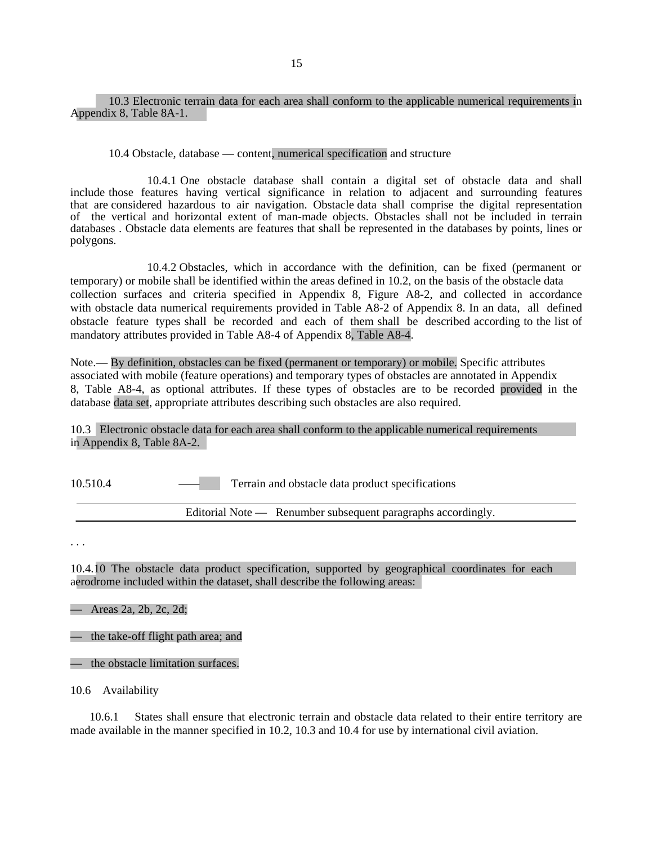#### 10.3 Electronic terrain data for each area shall conform to the applicable numerical requirements in Appendix 8, Table 8A-1.

10.4 Obstacle, database — content, numerical specification and structure

10.4.1 One obstacle database shall contain a digital set of obstacle data and shall include those features having vertical significance in relation to adjacent and surrounding features that are considered hazardous to air navigation. Obstacle data shall comprise the digital representation of the vertical and horizontal extent of man-made objects. Obstacles shall not be included in terrain databases . Obstacle data elements are features that shall be represented in the databases by points, lines or polygons.

10.4.2 Obstacles, which in accordance with the definition, can be fixed (permanent or temporary) or mobile shall be identified within the areas defined in 10.2, on the basis of the obstacle data collection surfaces and criteria specified in Appendix 8, Figure A8-2, and collected in accordance with obstacle data numerical requirements provided in Table A8-2 of Appendix 8. In an data, all defined obstacle feature types shall be recorded and each of them shall be described according to the list of mandatory attributes provided in Table A8-4 of Appendix 8, Table A8-4.

Note.— By definition, obstacles can be fixed (permanent or temporary) or mobile. Specific attributes associated with mobile (feature operations) and temporary types of obstacles are annotated in Appendix 8, Table A8-4, as optional attributes. If these types of obstacles are to be recorded provided in the database data set, appropriate attributes describing such obstacles are also required.

10.3 Electronic obstacle data for each area shall conform to the applicable numerical requirements in Appendix 8, Table 8A-2.

10.510.4 Terrain and obstacle data product specifications

Editorial Note — Renumber subsequent paragraphs accordingly.

. . .

10.4.10 The obstacle data product specification, supported by geographical coordinates for each aerodrome included within the dataset, shall describe the following areas:

— Areas 2a, 2b, 2c, 2d;

— the take-off flight path area; and

— the obstacle limitation surfaces.

10.6 Availability

10.6.1 States shall ensure that electronic terrain and obstacle data related to their entire territory are made available in the manner specified in 10.2, 10.3 and 10.4 for use by international civil aviation.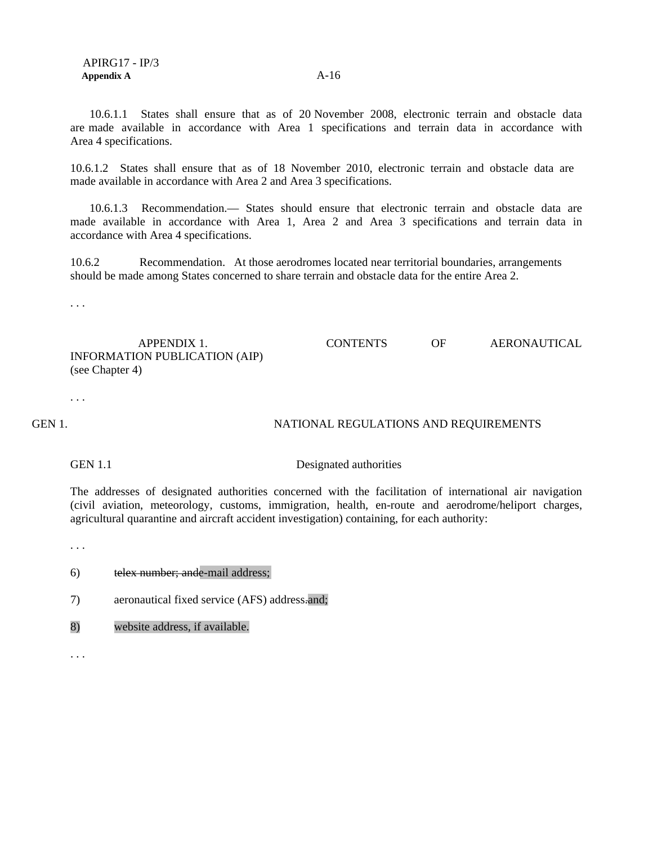10.6.1.1 States shall ensure that as of 20 November 2008, electronic terrain and obstacle data are made available in accordance with Area 1 specifications and terrain data in accordance with Area 4 specifications.

10.6.1.2 States shall ensure that as of 18 November 2010, electronic terrain and obstacle data are made available in accordance with Area 2 and Area 3 specifications.

10.6.1.3 Recommendation.— States should ensure that electronic terrain and obstacle data are made available in accordance with Area 1, Area 2 and Area 3 specifications and terrain data in accordance with Area 4 specifications.

10.6.2 Recommendation. At those aerodromes located near territorial boundaries, arrangements should be made among States concerned to share terrain and obstacle data for the entire Area 2.

. . .

APPENDIX 1. CONTENTS OF AERONAUTICAL INFORMATION PUBLICATION (AIP) (see Chapter 4)

. . .

GEN 1. NATIONAL REGULATIONS AND REQUIREMENTS

GEN 1.1 Designated authorities

The addresses of designated authorities concerned with the facilitation of international air navigation (civil aviation, meteorology, customs, immigration, health, en-route and aerodrome/heliport charges, agricultural quarantine and aircraft accident investigation) containing, for each authority:

. . .

6) telex number; ande-mail address;

7) aeronautical fixed service (AFS) address.and;

8) website address, if available.

. . .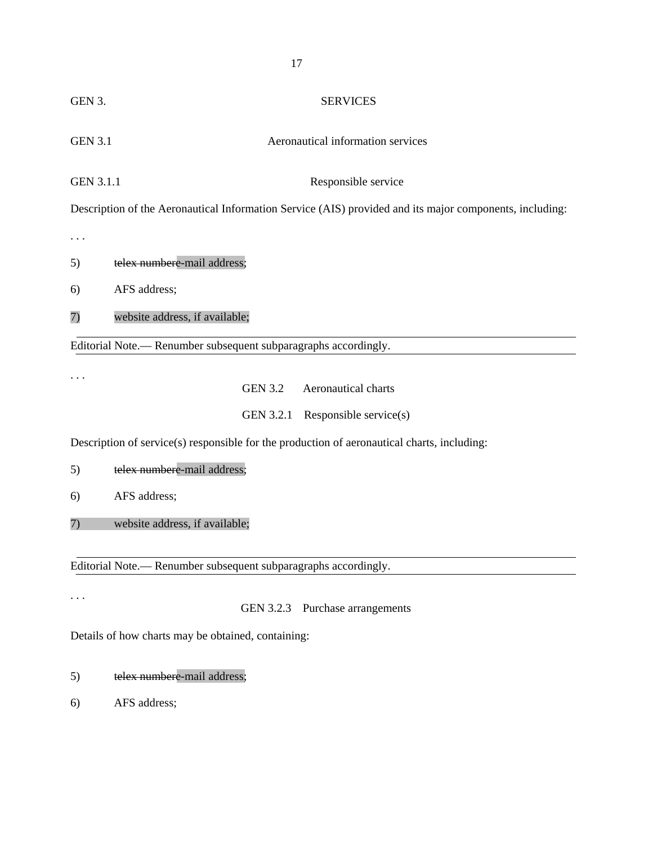| GEN 3.           | <b>SERVICES</b>                                                                                         |
|------------------|---------------------------------------------------------------------------------------------------------|
| <b>GEN 3.1</b>   | Aeronautical information services                                                                       |
| <b>GEN 3.1.1</b> | Responsible service                                                                                     |
|                  | Description of the Aeronautical Information Service (AIS) provided and its major components, including: |
|                  |                                                                                                         |
| 5)               | telex numbere-mail address;                                                                             |
| 6)               | AFS address;                                                                                            |
| 7)               | website address, if available;                                                                          |
|                  | Editorial Note.— Renumber subsequent subparagraphs accordingly.                                         |
|                  | <b>GEN 3.2</b><br>Aeronautical charts                                                                   |
|                  | GEN 3.2.1<br>Responsible service(s)                                                                     |
|                  | Description of service(s) responsible for the production of aeronautical charts, including:             |
| 5)               | telex numbere-mail address;                                                                             |
| 6)               | AFS address;                                                                                            |
| 7)               | website address, if available;                                                                          |
|                  | Editorial Note.— Renumber subsequent subparagraphs accordingly.                                         |

. . .

# GEN 3.2.3 Purchase arrangements

Details of how charts may be obtained, containing:

- 5) telex numbere-mail address;
- 6) AFS address;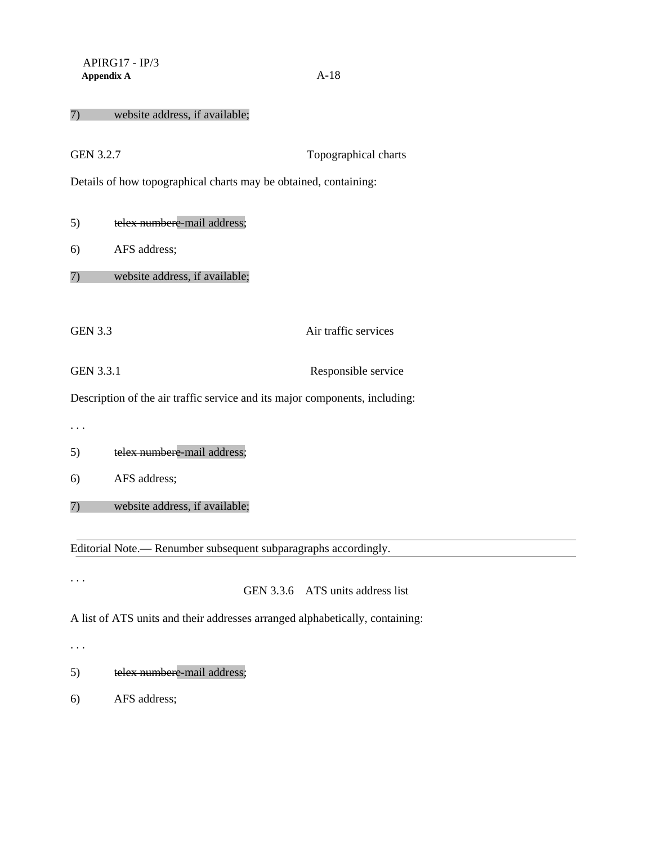#### 7) website address, if available;

| <b>GEN 3.2.7</b>                                                 |                                                                             | Topographical charts |  |  |
|------------------------------------------------------------------|-----------------------------------------------------------------------------|----------------------|--|--|
| Details of how topographical charts may be obtained, containing: |                                                                             |                      |  |  |
|                                                                  |                                                                             |                      |  |  |
| 5)                                                               | telex numbere-mail address;                                                 |                      |  |  |
| 6)                                                               | AFS address;                                                                |                      |  |  |
| 7)                                                               | website address, if available;                                              |                      |  |  |
|                                                                  |                                                                             |                      |  |  |
| <b>GEN 3.3</b>                                                   |                                                                             | Air traffic services |  |  |
| <b>GEN 3.3.1</b>                                                 |                                                                             | Responsible service  |  |  |
|                                                                  | Description of the air traffic service and its major components, including: |                      |  |  |
|                                                                  |                                                                             |                      |  |  |
| 5)                                                               | telex numbere-mail address;                                                 |                      |  |  |
| 6)                                                               | AFS address;                                                                |                      |  |  |
| 7)                                                               | website address, if available;                                              |                      |  |  |
|                                                                  |                                                                             |                      |  |  |

Editorial Note.— Renumber subsequent subparagraphs accordingly.

. . .

# GEN 3.3.6 ATS units address list

A list of ATS units and their addresses arranged alphabetically, containing:

. . .

- 5) telex numbere-mail address;
- 6) AFS address;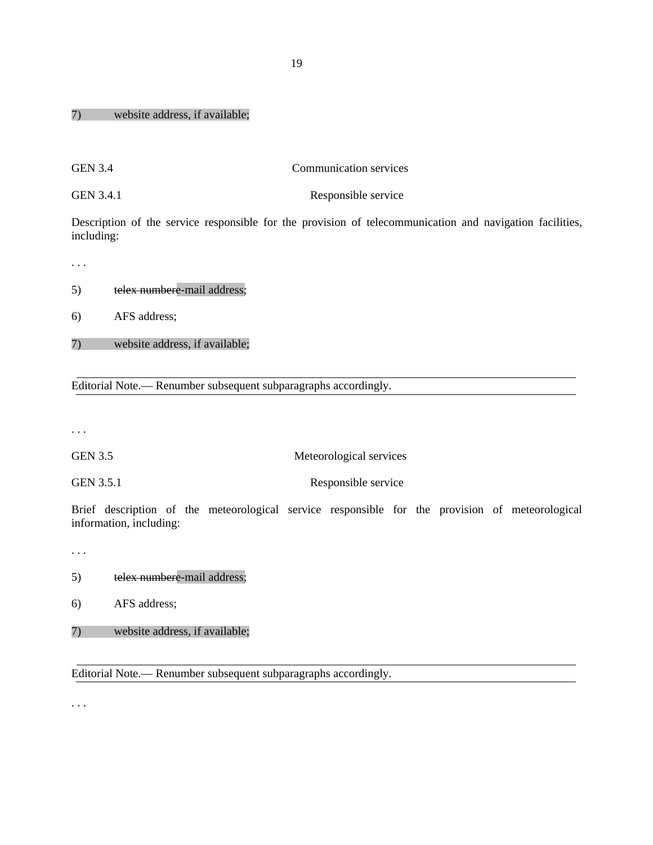#### 7) website address, if available;

GEN 3.4 Communication services

GEN 3.4.1 Responsible service

Description of the service responsible for the provision of telecommunication and navigation facilities, including:

. . .

5) telex numbere-mail address;

6) AFS address;

7) website address, if available;

Editorial Note.— Renumber subsequent subparagraphs accordingly.

. . .

GEN 3.5 Meteorological services

GEN 3.5.1 Responsible service

Brief description of the meteorological service responsible for the provision of meteorological information, including:

. . .

5) telex numbere-mail address;

6) AFS address;

7) website address, if available;

Editorial Note.— Renumber subsequent subparagraphs accordingly.

. . .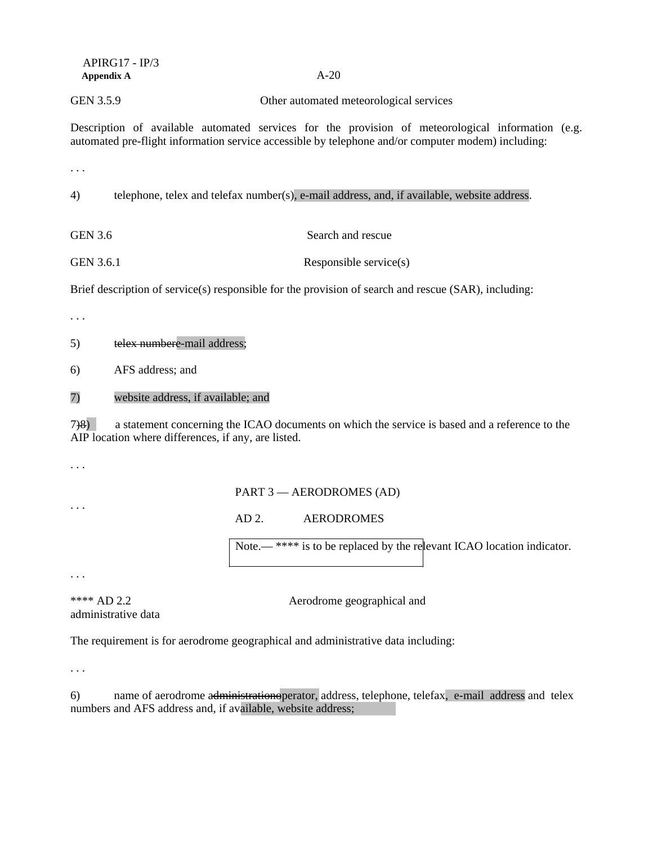| $APIRG17 - IP/3$ |        |
|------------------|--------|
| Appendix A       | $A-20$ |
|                  |        |

GEN 3.5.9 Other automated meteorological services

Description of available automated services for the provision of meteorological information (e.g. automated pre-flight information service accessible by telephone and/or computer modem) including:

. . .

4) telephone, telex and telefax number(s), e-mail address, and, if available, website address.

GEN 3.6 Search and rescue

GEN 3.6.1 Responsible service(s)

Brief description of service(s) responsible for the provision of search and rescue (SAR), including:

. . .

5) telex numbere-mail address;

6) AFS address; and

7) website address, if available; and

7)8) a statement concerning the ICAO documents on which the service is based and a reference to the AIP location where differences, if any, are listed.

. . .

. . .

PART 3 — AERODROMES (AD)

AD 2. AERODROMES

Note.— \*\*\*\* is to be replaced by the relevant ICAO location indicator.

. . .

administrative data

\*\*\*\* AD 2.2 Aerodrome geographical and

The requirement is for aerodrome geographical and administrative data including:

. . .

6) name of aerodrome administrationoperator, address, telephone, telefax, e-mail address and telex numbers and AFS address and, if available, website address;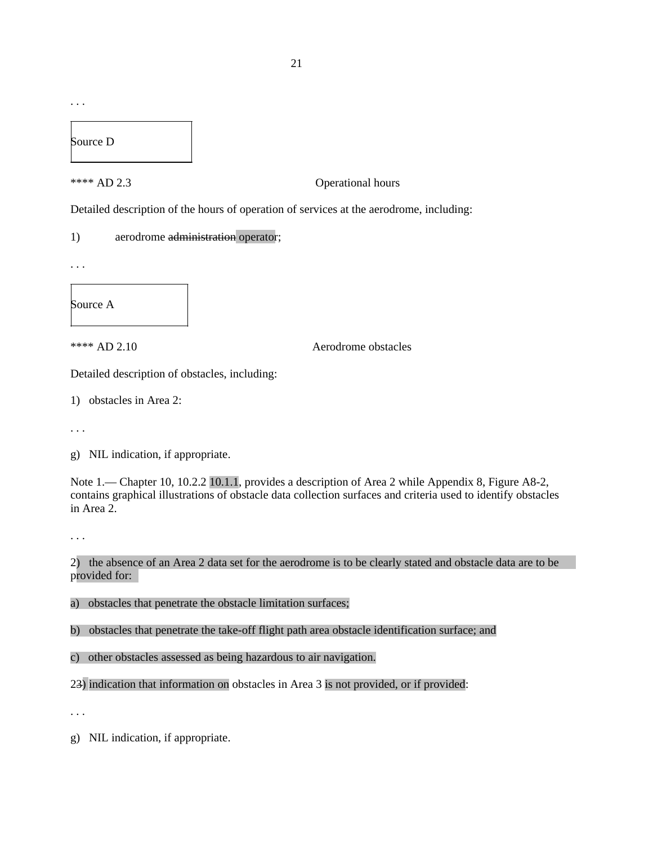. . .

Source D

\*\*\*\* AD 2.3 Operational hours

Detailed description of the hours of operation of services at the aerodrome, including:

1) aerodrome administration operator;

. . .

Source A

\*\*\*\* AD 2.10 Aerodrome obstacles

Detailed description of obstacles, including:

1) obstacles in Area 2:

. . .

g) NIL indication, if appropriate.

Note 1.— Chapter 10, 10.2.2 10.1.1, provides a description of Area 2 while Appendix 8, Figure A8-2, contains graphical illustrations of obstacle data collection surfaces and criteria used to identify obstacles in Area 2.

. . .

2) the absence of an Area 2 data set for the aerodrome is to be clearly stated and obstacle data are to be provided for:

a) obstacles that penetrate the obstacle limitation surfaces;

b) obstacles that penetrate the take-off flight path area obstacle identification surface; and

c) other obstacles assessed as being hazardous to air navigation.

23) indication that information on obstacles in Area 3 is not provided, or if provided:

. . .

g) NIL indication, if appropriate.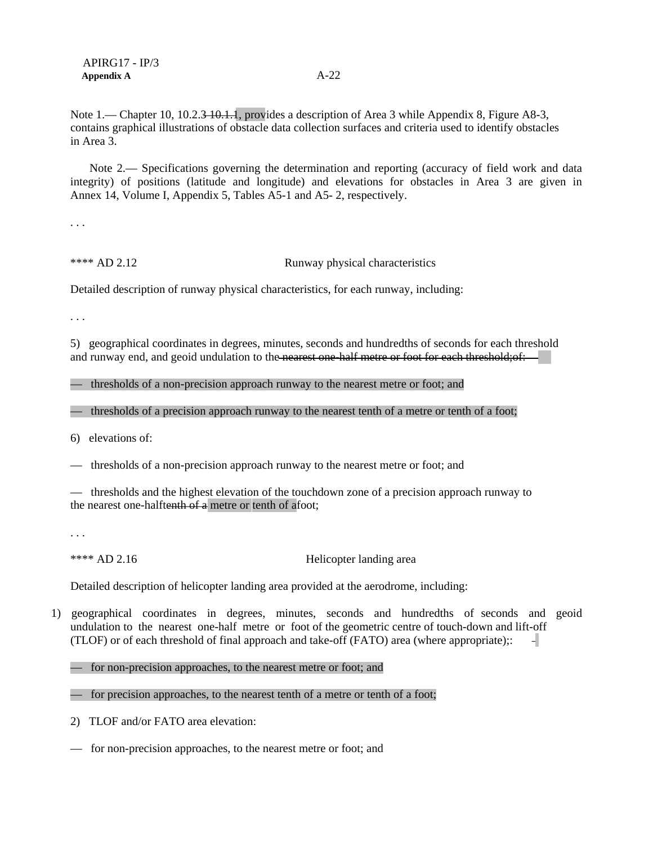Note 1.— Chapter 10, 10.2.3–10.1.1, provides a description of Area 3 while Appendix 8, Figure A8-3, contains graphical illustrations of obstacle data collection surfaces and criteria used to identify obstacles in Area 3.

Note 2.— Specifications governing the determination and reporting (accuracy of field work and data integrity) of positions (latitude and longitude) and elevations for obstacles in Area 3 are given in Annex 14, Volume I, Appendix 5, Tables A5-1 and A5- 2, respectively.

. . .

\*\*\*\* AD 2.12 Runway physical characteristics

Detailed description of runway physical characteristics, for each runway, including:

. . .

5) geographical coordinates in degrees, minutes, seconds and hundredths of seconds for each threshold and runway end, and geoid undulation to the nearest one-half metre or foot for each threshold;of:

— thresholds of a non-precision approach runway to the nearest metre or foot; and

— thresholds of a precision approach runway to the nearest tenth of a metre or tenth of a foot;

6) elevations of:

— thresholds of a non-precision approach runway to the nearest metre or foot; and

— thresholds and the highest elevation of the touchdown zone of a precision approach runway to the nearest one-halftenth of a metre or tenth of afoot;

. . .

\*\*\*\* AD 2.16 Helicopter landing area

Detailed description of helicopter landing area provided at the aerodrome, including:

1) geographical coordinates in degrees, minutes, seconds and hundredths of seconds and geoid undulation to the nearest one-half metre or foot of the geometric centre of touch-down and lift-off (TLOF) or of each threshold of final approach and take-off (FATO) area (where appropriate);:  $\overline{\phantom{a}}$ 

— for non-precision approaches, to the nearest metre or foot; and

— for precision approaches, to the nearest tenth of a metre or tenth of a foot;

2) TLOF and/or FATO area elevation:

— for non-precision approaches, to the nearest metre or foot; and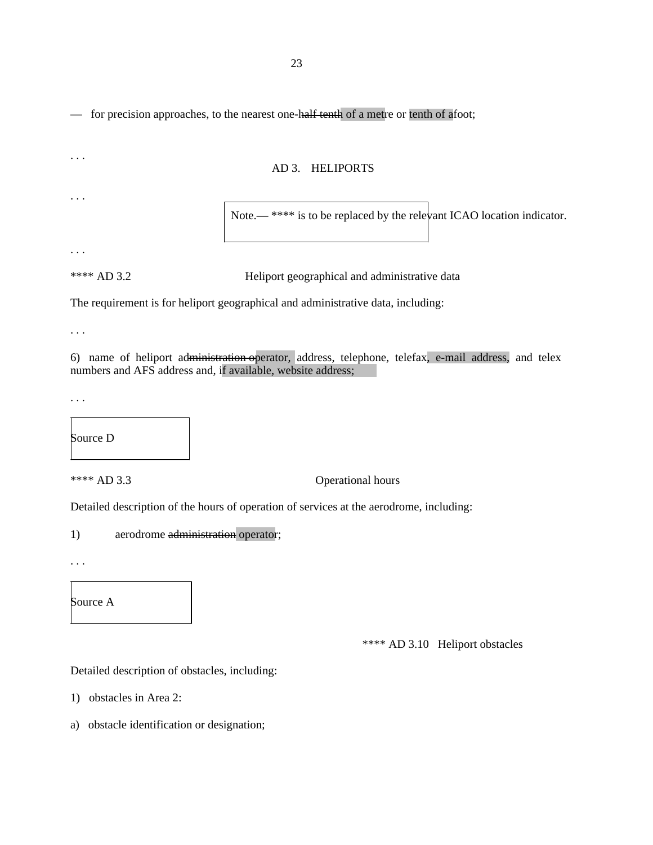— for precision approaches, to the nearest one-half tenth of a metre or tenth of afoot;

| $\cdots$                                                    | AD 3. HELIPORTS                                                                                     |
|-------------------------------------------------------------|-----------------------------------------------------------------------------------------------------|
| $\cdots$                                                    | Note.— **** is to be replaced by the relevant ICAO location indicator.                              |
|                                                             |                                                                                                     |
| **** AD 3.2                                                 | Heliport geographical and administrative data                                                       |
|                                                             | The requirement is for heliport geographical and administrative data, including:                    |
|                                                             |                                                                                                     |
| numbers and AFS address and, if available, website address; | 6) name of heliport administration operator, address, telephone, telefax, e-mail address, and telex |
| $\ddotsc$                                                   |                                                                                                     |
|                                                             |                                                                                                     |
| Source D                                                    |                                                                                                     |

\*\*\*\* AD 3.3 Operational hours

Detailed description of the hours of operation of services at the aerodrome, including:

1) aerodrome administration operator;

. . .

Source A

\*\*\*\* AD 3.10 Heliport obstacles

Detailed description of obstacles, including:

- 1) obstacles in Area 2:
- a) obstacle identification or designation;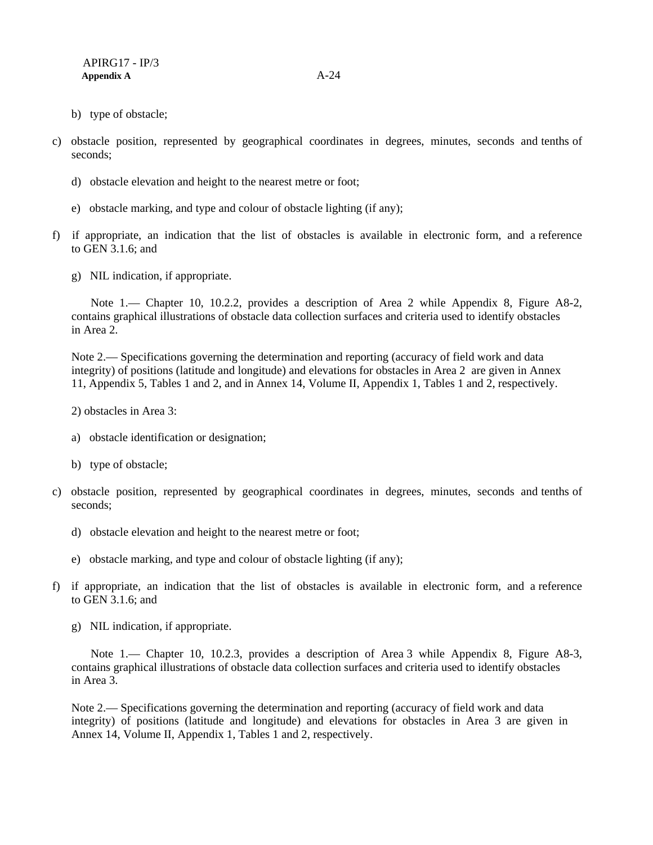- b) type of obstacle;
- c) obstacle position, represented by geographical coordinates in degrees, minutes, seconds and tenths of seconds;
	- d) obstacle elevation and height to the nearest metre or foot;
	- e) obstacle marking, and type and colour of obstacle lighting (if any);
- f) if appropriate, an indication that the list of obstacles is available in electronic form, and a reference to GEN 3.1.6; and
	- g) NIL indication, if appropriate.

Note 1.— Chapter 10, 10.2.2, provides a description of Area 2 while Appendix 8, Figure A8-2, contains graphical illustrations of obstacle data collection surfaces and criteria used to identify obstacles in Area 2.

Note 2.— Specifications governing the determination and reporting (accuracy of field work and data integrity) of positions (latitude and longitude) and elevations for obstacles in Area 2 are given in Annex 11, Appendix 5, Tables 1 and 2, and in Annex 14, Volume II, Appendix 1, Tables 1 and 2, respectively.

2) obstacles in Area 3:

- a) obstacle identification or designation;
- b) type of obstacle;
- c) obstacle position, represented by geographical coordinates in degrees, minutes, seconds and tenths of seconds;
	- d) obstacle elevation and height to the nearest metre or foot;
	- e) obstacle marking, and type and colour of obstacle lighting (if any);
- f) if appropriate, an indication that the list of obstacles is available in electronic form, and a reference to GEN 3.1.6; and
	- g) NIL indication, if appropriate.

Note 1.— Chapter 10, 10.2.3, provides a description of Area 3 while Appendix 8, Figure A8-3, contains graphical illustrations of obstacle data collection surfaces and criteria used to identify obstacles in Area 3.

Note 2.— Specifications governing the determination and reporting (accuracy of field work and data integrity) of positions (latitude and longitude) and elevations for obstacles in Area 3 are given in Annex 14, Volume II, Appendix 1, Tables 1 and 2, respectively.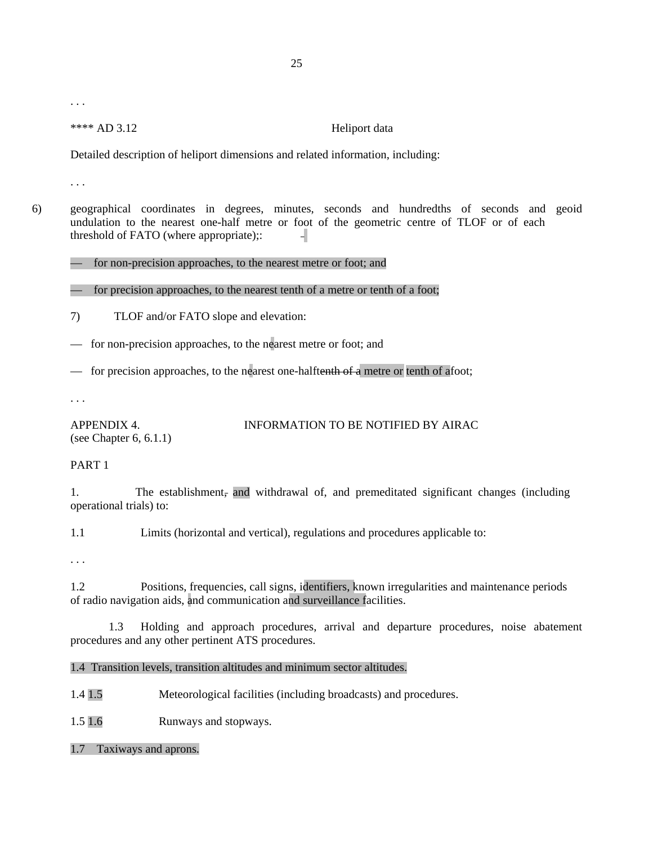. . .

\*\*\*\* AD 3.12 Heliport data

Detailed description of heliport dimensions and related information, including:

. . .

6) geographical coordinates in degrees, minutes, seconds and hundredths of seconds and geoid undulation to the nearest one-half metre or foot of the geometric centre of TLOF or of each threshold of FATO (where appropriate);: 41

#### — for non-precision approaches, to the nearest metre or foot; and

— for precision approaches, to the nearest tenth of a metre or tenth of a foot;

- 7) TLOF and/or FATO slope and elevation:
- for non-precision approaches, to the nearest metre or foot; and
- for precision approaches, to the nearest one-halftenth of a metre or tenth of afoot;

. . .

APPENDIX 4. INFORMATION TO BE NOTIFIED BY AIRAC (see Chapter 6, 6.1.1)

#### PART 1

1. The establishment, and withdrawal of, and premeditated significant changes (including operational trials) to:

1.1 Limits (horizontal and vertical), regulations and procedures applicable to:

. . .

1.2 Positions, frequencies, call signs, identifiers, known irregularities and maintenance periods of radio navigation aids, and communication and surveillance facilities.

1.3 Holding and approach procedures, arrival and departure procedures, noise abatement procedures and any other pertinent ATS procedures.

1.4 Transition levels, transition altitudes and minimum sector altitudes.

1.4 1.5 Meteorological facilities (including broadcasts) and procedures.

1.5 1.6 Runways and stopways.

1.7 Taxiways and aprons.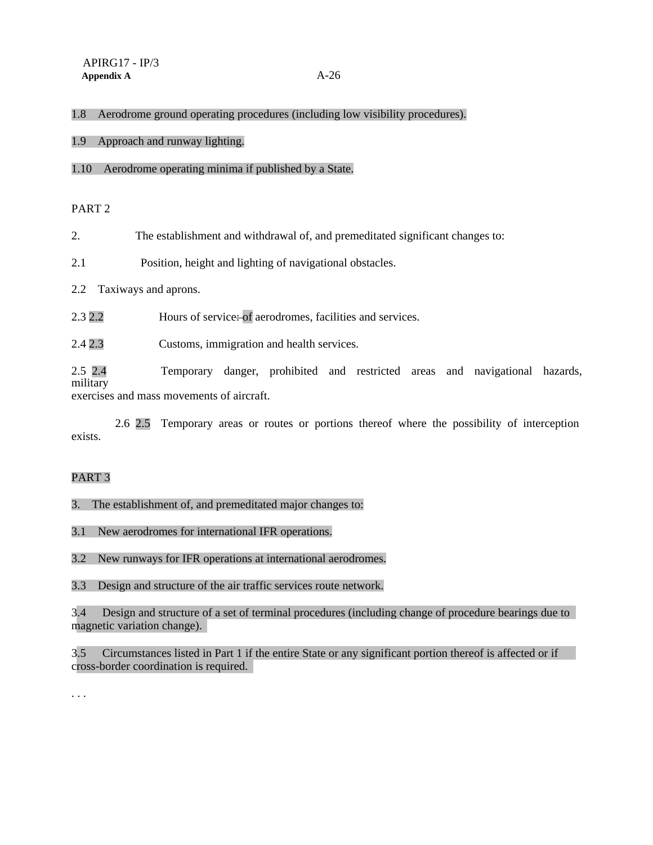#### 1.8 Aerodrome ground operating procedures (including low visibility procedures).

1.9 Approach and runway lighting.

#### 1.10 Aerodrome operating minima if published by a State.

PART 2

2. The establishment and withdrawal of, and premeditated significant changes to:

2.1 Position, height and lighting of navigational obstacles.

2.2 Taxiways and aprons.

2.3 2.2 Hours of service: of aerodromes, facilities and services.

2.4 2.3 Customs, immigration and health services.

2.5 2.4 Temporary danger, prohibited and restricted areas and navigational hazards, military exercises and mass movements of aircraft.

exists. 2.6 2.5 Temporary areas or routes or portions thereof where the possibility of interception

### PART 3

3. The establishment of, and premeditated major changes to:

3.1 New aerodromes for international IFR operations.

3.2 New runways for IFR operations at international aerodromes.

3.3 Design and structure of the air traffic services route network.

3.4 Design and structure of a set of terminal procedures (including change of procedure bearings due to magnetic variation change).

3.5 Circumstances listed in Part 1 if the entire State or any significant portion thereof is affected or if cross-border coordination is required.

. . .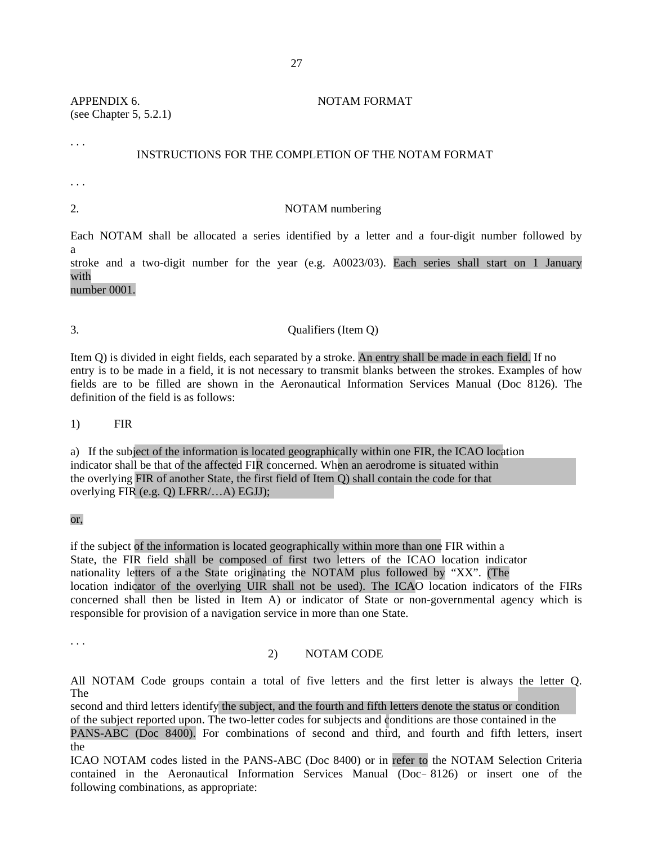APPENDIX 6. NOTAM FORMAT (see Chapter 5, 5.2.1)

#### INSTRUCTIONS FOR THE COMPLETION OF THE NOTAM FORMAT

. . .

. . .

#### 2. NOTAM numbering

Each NOTAM shall be allocated a series identified by a letter and a four-digit number followed by a stroke and a two-digit number for the year (e.g. A0023/03). Each series shall start on 1 January

with number 0001.

# 3. Qualifiers (Item Q)

Item Q) is divided in eight fields, each separated by a stroke. An entry shall be made in each field. If no entry is to be made in a field, it is not necessary to transmit blanks between the strokes. Examples of how fields are to be filled are shown in the Aeronautical Information Services Manual (Doc 8126). The definition of the field is as follows:

1) FIR

a) If the subject of the information is located geographically within one FIR, the ICAO location indicator shall be that of the affected FIR concerned. When an aerodrome is situated within the overlying FIR of another State, the first field of Item Q) shall contain the code for that overlying FIR (e.g. Q) LFRR/…A) EGJJ);

or,

if the subject of the information is located geographically within more than one FIR within a State, the FIR field shall be composed of first two letters of the ICAO location indicator nationality letters of a the State originating the NOTAM plus followed by "XX". (The location indicator of the overlying UIR shall not be used). The ICAO location indicators of the FIRs concerned shall then be listed in Item A) or indicator of State or non-governmental agency which is responsible for provision of a navigation service in more than one State.

. . .

#### 2) NOTAM CODE

All NOTAM Code groups contain a total of five letters and the first letter is always the letter Q. The

second and third letters identify the subject, and the fourth and fifth letters denote the status or condition of the subject reported upon. The two-letter codes for subjects and conditions are those contained in the PANS-ABC (Doc 8400). For combinations of second and third, and fourth and fifth letters, insert

the

ICAO NOTAM codes listed in the PANS-ABC (Doc 8400) or in refer to the NOTAM Selection Criteria contained in the Aeronautical Information Services Manual (Doc 8126) or insert one of the following combinations, as appropriate: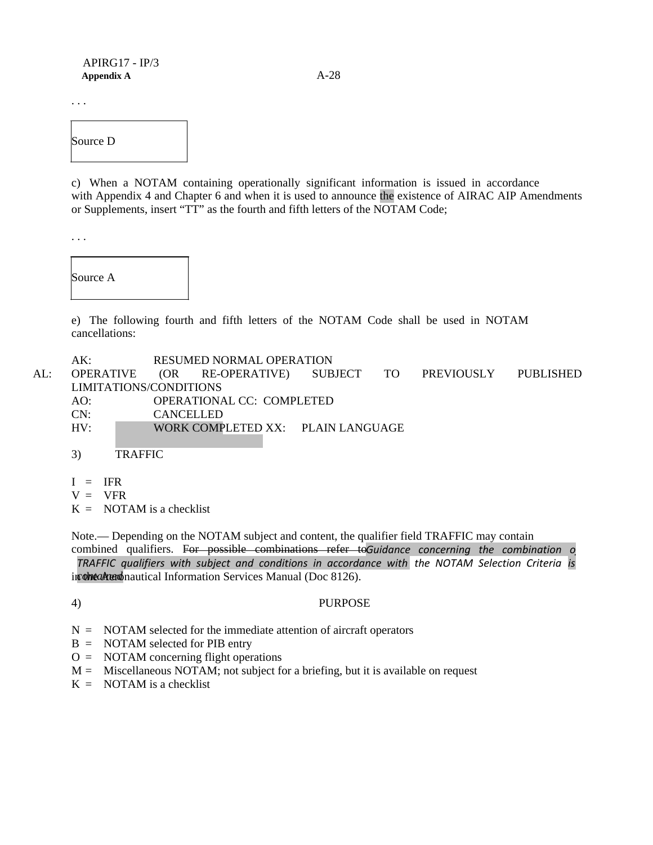. . .

Source D

c) When a NOTAM containing operationally significant information is issued in accordance with Appendix 4 and Chapter 6 and when it is used to announce the existence of AIRAC AIP Amendments or Supplements, insert "TT" as the fourth and fifth letters of the NOTAM Code;

. . .



e) The following fourth and fifth letters of the NOTAM Code shall be used in NOTAM cancellations:

AK: RESUMED NORMAL OPERATION

AL: OPERATIVE (OR RE-OPERATIVE) SUBJECT TO PREVIOUSLY PUBLISHED LIMITATIONS/CONDITIONS AO: OPERATIONAL CC: COMPLETED CN: CANCELLED HV: WORK COMPLETED XX: PLAIN LANGUAGE

- 3) TRAFFIC
- $I = IFR$
- $V = VFR$
- $K = NOTAM$  is a checklist

combined qualifiers. For possible combinations refer toGuidance concerning the combination o TRAFFIC qualifiers with subject and conditions in accordance with the NOTAM Selection Criteria is in the Acer and nautical Information Services Manual (Doc 8126). Note.— Depending on the NOTAM subject and content, the qualifier field TRAFFIC may contain

#### 4) PURPOSE

- $N = NOTAM$  selected for the immediate attention of aircraft operators
- B = NOTAM selected for PIB entry
- O = NOTAM concerning flight operations
- $M =$  Miscellaneous NOTAM; not subject for a briefing, but it is available on request
- $K = NOTAM$  is a checklist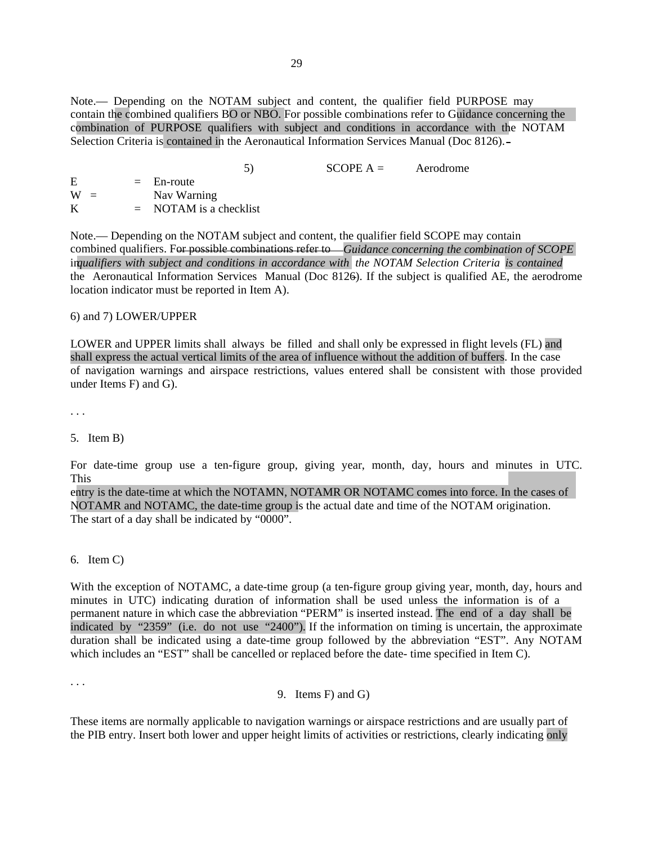Note.— Depending on the NOTAM subject and content, the qualifier field PURPOSE may contain the combined qualifiers BO or NBO. For possible combinations refer to Guidance concerning the combination of PURPOSE qualifiers with subject and conditions in accordance with the NOTAM Selection Criteria is contained in the Aeronautical Information Services Manual (Doc 8126).

|       | 5)                       | $SCOPE A =$ | Aerodrome |
|-------|--------------------------|-------------|-----------|
| E     | $=$ En-route             |             |           |
| $W =$ | Nav Warning              |             |           |
| K     | $=$ NOTAM is a checklist |             |           |

combined qualifiers. For possible combinations refer to - Guidance concerning the combination of SCOPE *qualifiers with subject and conditions in accordance with the NOTAM Selection Criteria is contained* in Note.— Depending on the NOTAM subject and content, the qualifier field SCOPE may contain the Aeronautical Information Services Manual (Doc 8126). If the subject is qualified AE, the aerodrome location indicator must be reported in Item A).

6) and 7) LOWER/UPPER

LOWER and UPPER limits shall always be filled and shall only be expressed in flight levels (FL) and shall express the actual vertical limits of the area of influence without the addition of buffers. In the case of navigation warnings and airspace restrictions, values entered shall be consistent with those provided under Items F) and G).

. . .

#### 5. Item B)

For date-time group use a ten-figure group, giving year, month, day, hours and minutes in UTC. This

entry is the date-time at which the NOTAMN, NOTAMR OR NOTAMC comes into force. In the cases of NOTAMR and NOTAMC, the date-time group is the actual date and time of the NOTAM origination. The start of a day shall be indicated by "0000".

#### 6. Item C)

With the exception of NOTAMC, a date-time group (a ten-figure group giving year, month, day, hours and minutes in UTC) indicating duration of information shall be used unless the information is of a permanent nature in which case the abbreviation "PERM" is inserted instead. The end of a day shall be indicated by "2359" (i.e. do not use "2400"). If the information on timing is uncertain, the approximate duration shall be indicated using a date-time group followed by the abbreviation "EST". Any NOTAM which includes an "EST" shall be cancelled or replaced before the date- time specified in Item C).

. . .

### 9. Items F) and G)

These items are normally applicable to navigation warnings or airspace restrictions and are usually part of the PIB entry. Insert both lower and upper height limits of activities or restrictions, clearly indicating only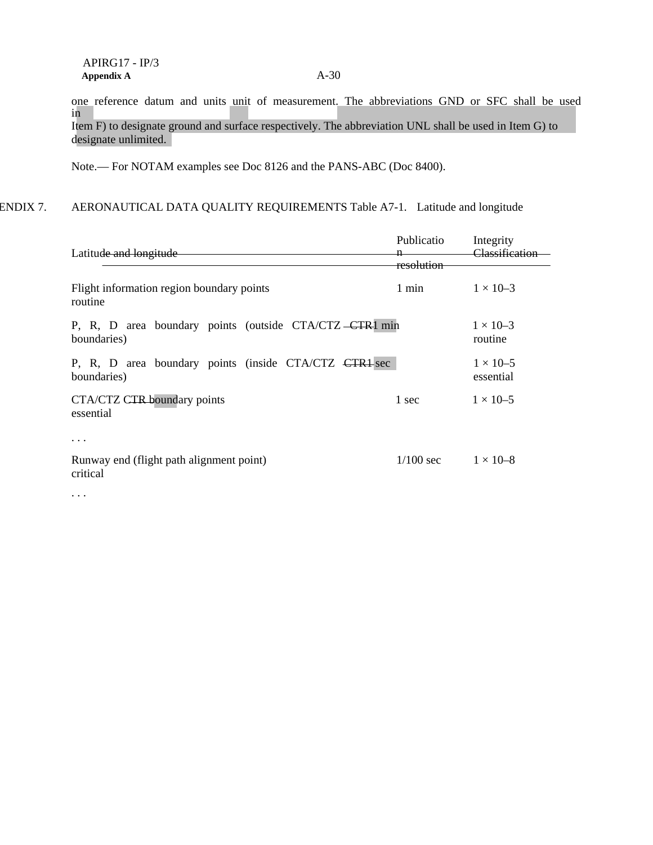one reference datum and units unit of measurement. The abbreviations GND or SFC shall be used in Item F) to designate ground and surface respectively. The abbreviation UNL shall be used in Item G) to designate unlimited.

Note.— For NOTAM examples see Doc 8126 and the PANS-ABC (Doc 8400).

# ENDIX 7. AERONAUTICAL DATA QUALITY REQUIREMENTS Table A7-1. Latitude and longitude

| Latitude and longitude                                                 | Publicatio<br>resolution | Integrity<br>Classification     |
|------------------------------------------------------------------------|--------------------------|---------------------------------|
| Flight information region boundary points<br>routine                   | $1 \text{ min}$          | $1 \times 10^{-3}$              |
| P, R, D area boundary points (outside CTA/CTZ -CTR1 min<br>boundaries) |                          | $1 \times 10^{-3}$<br>routine   |
| P, R, D area boundary points (inside CTA/CTZ CTR1 sec<br>boundaries)   |                          | $1 \times 10^{-5}$<br>essential |
| CTA/CTZ CTR boundary points<br>essential                               | 1 sec                    | $1 \times 10^{-5}$              |
| .                                                                      |                          |                                 |
| Runway end (flight path alignment point)<br>critical                   | $1/100 \text{ sec}$      | $1 \times 10 - 8$               |
| $\cdots$                                                               |                          |                                 |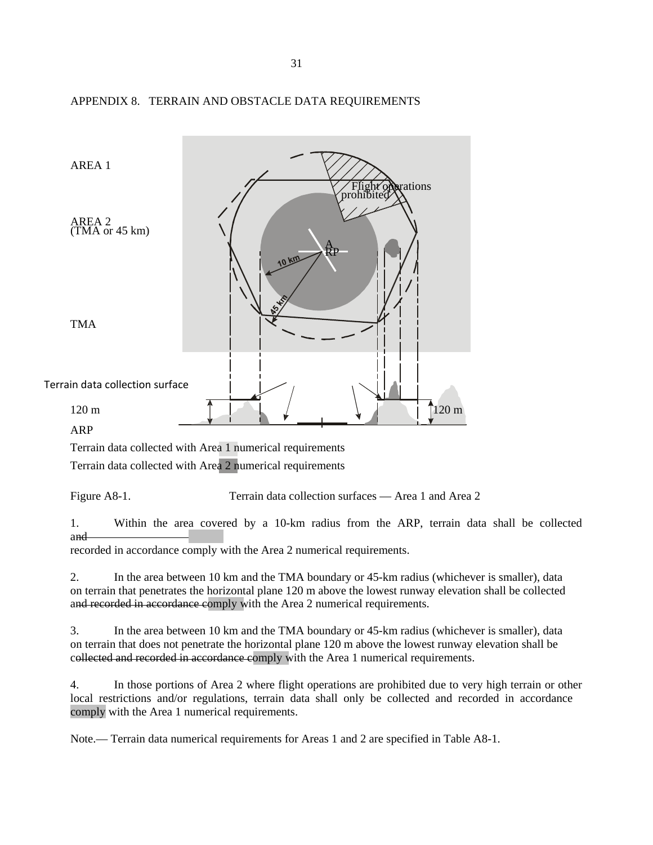

# APPENDIX 8. TERRAIN AND OBSTACLE DATA REQUIREMENTS

Terrain data collected with Area 1 numerical requirements

Terrain data collected with Area 2 numerical requirements

Figure A8-1. Terrain data collection surfaces — Area 1 and Area 2

1. Within the area covered by a 10-km radius from the ARP, terrain data shall be collected and recorded in accordance comply with the Area 2 numerical requirements.

2. In the area between 10 km and the TMA boundary or 45-km radius (whichever is smaller), data on terrain that penetrates the horizontal plane 120 m above the lowest runway elevation shall be collected and recorded in accordance comply with the Area 2 numerical requirements.

3. In the area between 10 km and the TMA boundary or 45-km radius (whichever is smaller), data on terrain that does not penetrate the horizontal plane 120 m above the lowest runway elevation shall be collected and recorded in accordance comply with the Area 1 numerical requirements.

4. In those portions of Area 2 where flight operations are prohibited due to very high terrain or other local restrictions and/or regulations, terrain data shall only be collected and recorded in accordance comply with the Area 1 numerical requirements.

Note.— Terrain data numerical requirements for Areas 1 and 2 are specified in Table A8-1.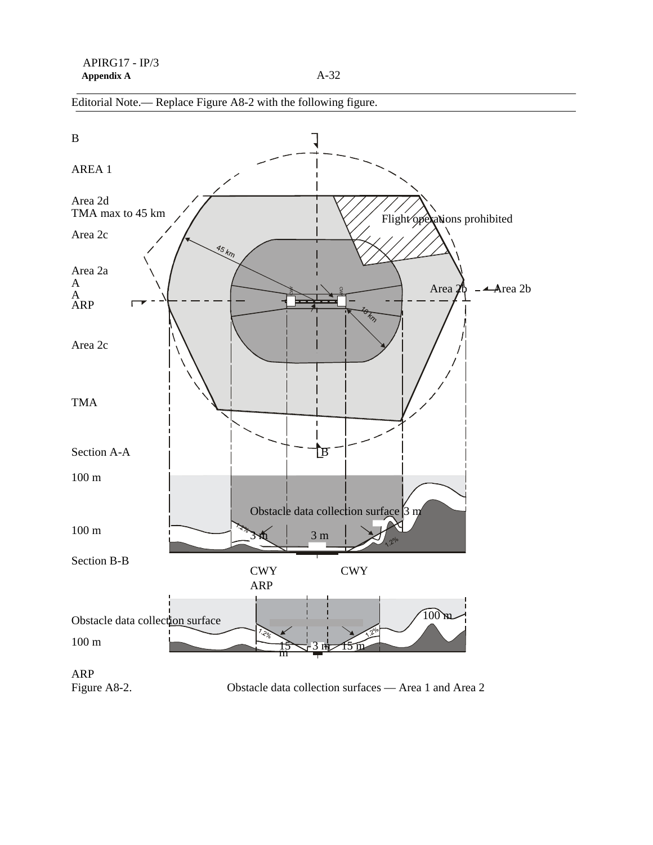

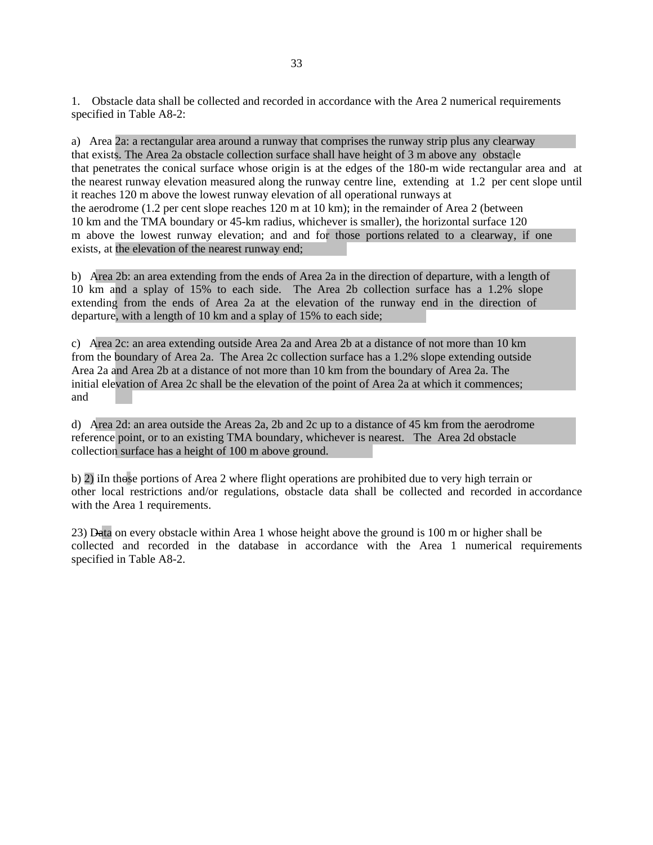1. Obstacle data shall be collected and recorded in accordance with the Area 2 numerical requirements specified in Table A8-2:

a) Area 2a: a rectangular area around a runway that comprises the runway strip plus any clearway that exists. The Area 2a obstacle collection surface shall have height of 3 m above any obstacle that penetrates the conical surface whose origin is at the edges of the 180-m wide rectangular area and at the nearest runway elevation measured along the runway centre line, extending at 1.2 per cent slope until it reaches 120 m above the lowest runway elevation of all operational runways at the aerodrome (1.2 per cent slope reaches 120 m at 10 km); in the remainder of Area 2 (between 10 km and the TMA boundary or 45-km radius, whichever is smaller), the horizontal surface 120 m above the lowest runway elevation; and and for those portions related to a clearway, if one exists, at the elevation of the nearest runway end;

b) Area 2b: an area extending from the ends of Area 2a in the direction of departure, with a length of 10 km and a splay of 15% to each side. The Area 2b collection surface has a 1.2% slope extending from the ends of Area 2a at the elevation of the runway end in the direction of departure, with a length of 10 km and a splay of 15% to each side;

c) Area 2c: an area extending outside Area 2a and Area 2b at a distance of not more than 10 km from the boundary of Area 2a. The Area 2c collection surface has a 1.2% slope extending outside Area 2a and Area 2b at a distance of not more than 10 km from the boundary of Area 2a. The initial elevation of Area 2c shall be the elevation of the point of Area 2a at which it commences; and

d) Area 2d: an area outside the Areas 2a, 2b and 2c up to a distance of 45 km from the aerodrome reference point, or to an existing TMA boundary, whichever is nearest. The Area 2d obstacle collection surface has a height of 100 m above ground.

b) 2) iIn those portions of Area 2 where flight operations are prohibited due to very high terrain or other local restrictions and/or regulations, obstacle data shall be collected and recorded in accordance with the Area 1 requirements.

23) Data on every obstacle within Area 1 whose height above the ground is 100 m or higher shall be collected and recorded in the database in accordance with the Area 1 numerical requirements specified in Table A8-2.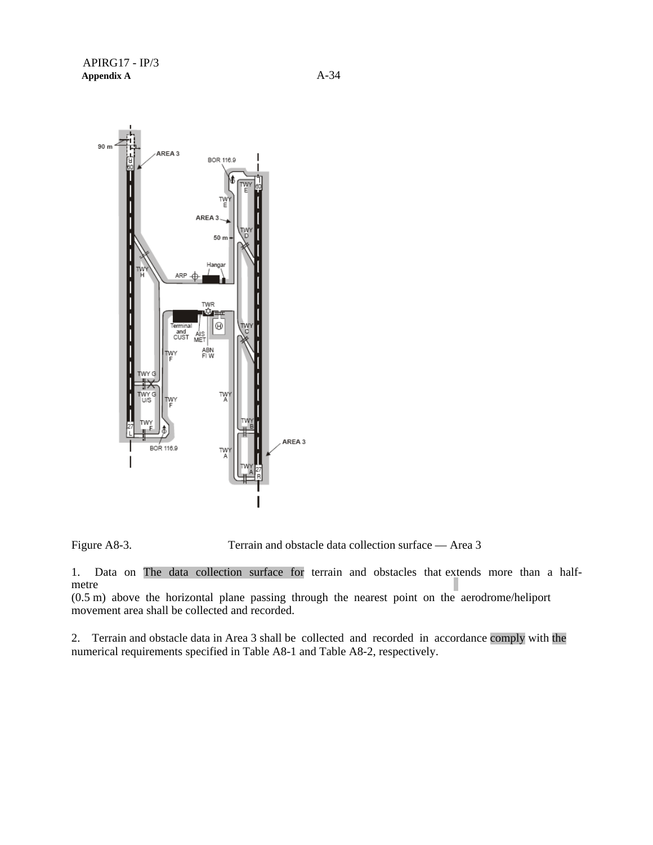

Figure A8-3. Terrain and obstacle data collection surface — Area 3

1. Data on The data collection surface for terrain and obstacles that extends more than a halfmetre

(0.5 m) above the horizontal plane passing through the nearest point on the aerodrome/heliport movement area shall be collected and recorded.

2. Terrain and obstacle data in Area 3 shall be collected and recorded in accordance comply with the numerical requirements specified in Table A8-1 and Table A8-2, respectively.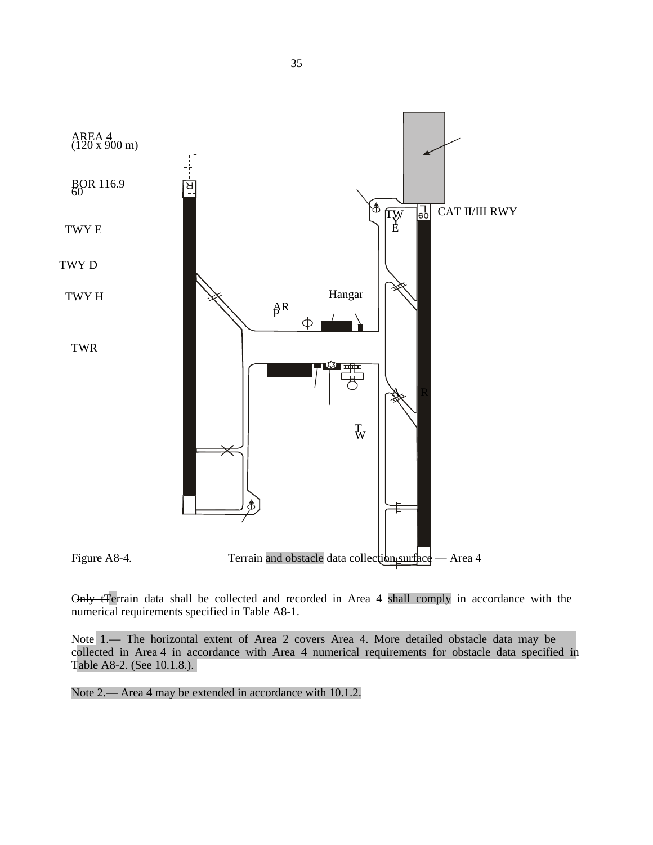

Only tTerrain data shall be collected and recorded in Area 4 shall comply in accordance with the numerical requirements specified in Table A8-1.

Note 1.— The horizontal extent of Area 2 covers Area 4. More detailed obstacle data may be collected in Area 4 in accordance with Area 4 numerical requirements for obstacle data specified in Table A8-2. (See 10.1.8.).

Note 2.— Area 4 may be extended in accordance with 10.1.2.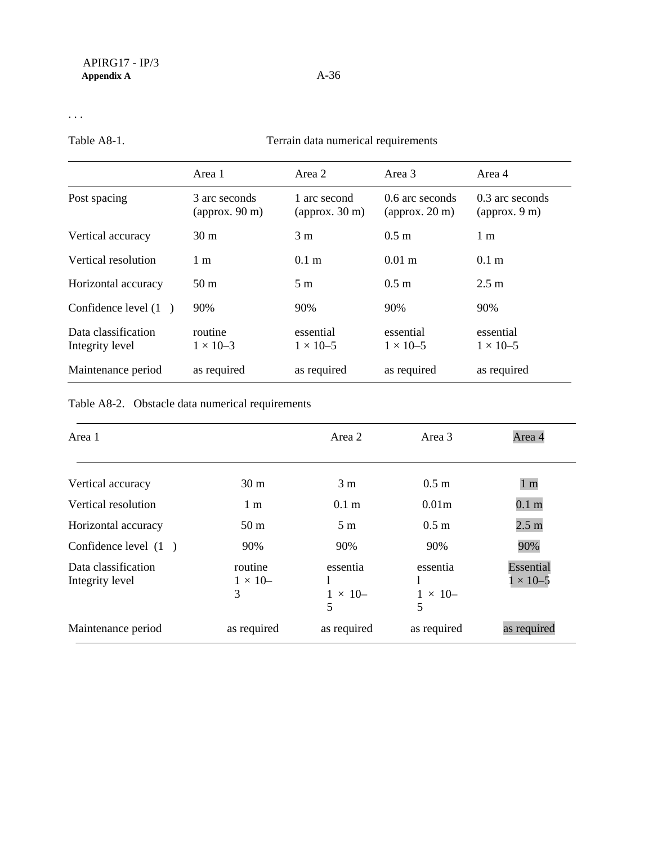. . .

Table A8-1. Terrain data numerical requirements

|                                        | Area 1                                 | Area 2                                  | Area 3                                     | Area 4                                    |
|----------------------------------------|----------------------------------------|-----------------------------------------|--------------------------------------------|-------------------------------------------|
| Post spacing                           | 3 arc seconds<br>$\alpha$ pprox. 90 m) | 1 arc second<br>$\alpha$ (approx. 30 m) | 0.6 arc seconds<br>$\alpha$ (approx. 20 m) | 0.3 arc seconds<br>$\alpha$ (approx. 9 m) |
| Vertical accuracy                      | 30 <sub>m</sub>                        | 3 <sub>m</sub>                          | $0.5 \text{ m}$                            | 1 <sub>m</sub>                            |
| Vertical resolution                    | $1 \text{ m}$                          | $0.1 \text{ m}$                         | $0.01 \; \mathrm{m}$                       | 0.1 <sub>m</sub>                          |
| Horizontal accuracy                    | 50 <sub>m</sub>                        | 5 m                                     | $0.5 \text{ m}$                            | $2.5 \text{ m}$                           |
| Confidence level (1)                   | 90%                                    | 90%                                     | 90%                                        | 90%                                       |
| Data classification<br>Integrity level | routine<br>$1 \times 10 - 3$           | essential<br>$1 \times 10^{-5}$         | essential<br>$1 \times 10^{-5}$            | essential<br>$1 \times 10 - 5$            |
| Maintenance period                     | as required                            | as required                             | as required                                | as required                               |

# Table A8-2. Obstacle data numerical requirements

| Area 1                                 |                                    | Area 2                          | Area 3                          | Area 4                         |
|----------------------------------------|------------------------------------|---------------------------------|---------------------------------|--------------------------------|
| Vertical accuracy                      | 30 <sub>m</sub>                    | 3 <sub>m</sub>                  | 0.5 <sub>m</sub>                | 1 <sub>m</sub>                 |
| Vertical resolution                    | 1 <sub>m</sub>                     | $0.1 \text{ m}$                 | 0.01 <sub>m</sub>               | 0.1 <sub>m</sub>               |
| Horizontal accuracy                    | 50 <sub>m</sub>                    | 5 <sub>m</sub>                  | 0.5 <sub>m</sub>                | 2.5 <sub>m</sub>               |
| Confidence level $(1)$                 | 90%                                | 90%                             | 90%                             | 90%                            |
| Data classification<br>Integrity level | routine<br>$1 \times 10^{-7}$<br>3 | essentia<br>$1 \times 10-$<br>5 | essentia<br>$1 \times 10-$<br>5 | Essential<br>$1 \times 10 - 5$ |
| Maintenance period                     | as required                        | as required                     | as required                     | as required                    |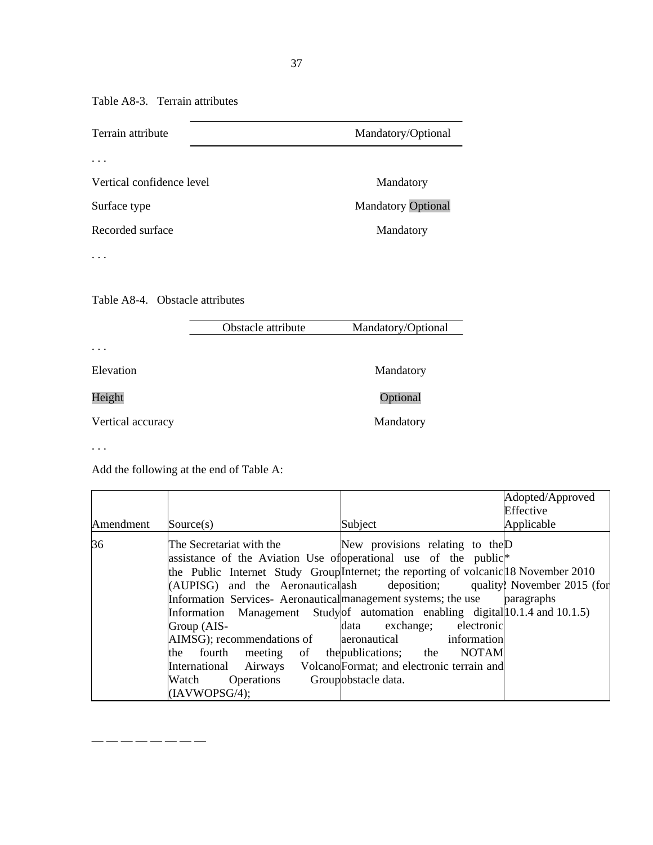Table A8-3. Terrain attributes

| Terrain attribute               | Mandatory/Optional        |
|---------------------------------|---------------------------|
| $\cdot$ $\cdot$ $\cdot$         |                           |
| Vertical confidence level       | Mandatory                 |
| Surface type                    | <b>Mandatory Optional</b> |
| Recorded surface                | Mandatory                 |
|                                 |                           |
|                                 |                           |
| Table A8-4. Obstacle attributes |                           |

bstacle att

Obstacle attribute Mandatory/Optional

. . .

Elevation Mandatory

Height **Manufacture Contains Containing Containing Containing Containing Containing Containing Containing Containing Containing Containing Containing Containing Containing Containing Containing Containing Containing Contai** 

Vertical accuracy Mandatory

. . .

Add the following at the end of Table A:

— — — — — — — —

|           |                                                                                                                                                                                                                                                                                                                                                                                                                                                                                                                                                                                                                              |                                                                                                                                                                         | Adopted/Approved |
|-----------|------------------------------------------------------------------------------------------------------------------------------------------------------------------------------------------------------------------------------------------------------------------------------------------------------------------------------------------------------------------------------------------------------------------------------------------------------------------------------------------------------------------------------------------------------------------------------------------------------------------------------|-------------------------------------------------------------------------------------------------------------------------------------------------------------------------|------------------|
|           |                                                                                                                                                                                                                                                                                                                                                                                                                                                                                                                                                                                                                              |                                                                                                                                                                         | Effective        |
| Amendment | Source(s)                                                                                                                                                                                                                                                                                                                                                                                                                                                                                                                                                                                                                    | Subject                                                                                                                                                                 | Applicable       |
| 36        | The Secretariat with the<br>assistance of the Aviation Use of operational use of the public <sup>*</sup><br>the Public Internet Study Group Internet; the reporting of volcanic 18 November 2010<br>$[ADPISG]$ and the Aeronauticalash deposition; quality November 2015 (for<br>Information Services- Aeronautical management systems; the use<br>Information Management Study of automation enabling digital $ 10.1.4 \text{ and } 10.1.5\rangle$<br>Group (AIS-<br>AIMSG); recommendations of aeronautical information<br>fourth<br>meeting of<br>the<br>International<br>Airways<br>Operations<br>Watch<br>(IAVWOPSG/4); | New provisions relating to the D<br>electronic<br>exchange;<br>data<br>the publications; the NOTAM<br>Volcano Format; and electronic terrain and<br>Groupobstacle data. | paragraphs       |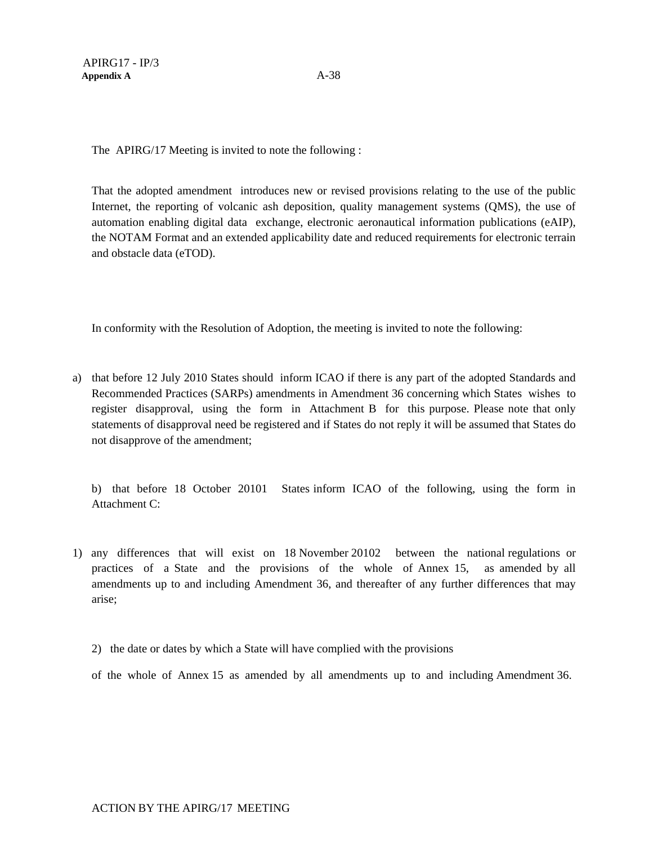The APIRG/17 Meeting is invited to note the following :

That the adopted amendment introduces new or revised provisions relating to the use of the public Internet, the reporting of volcanic ash deposition, quality management systems (QMS), the use of automation enabling digital data exchange, electronic aeronautical information publications (eAIP), the NOTAM Format and an extended applicability date and reduced requirements for electronic terrain and obstacle data (eTOD).

In conformity with the Resolution of Adoption, the meeting is invited to note the following:

a) that before 12 July 2010 States should inform ICAO if there is any part of the adopted Standards and Recommended Practices (SARPs) amendments in Amendment 36 concerning which States wishes to register disapproval, using the form in Attachment B for this purpose. Please note that only statements of disapproval need be registered and if States do not reply it will be assumed that States do not disapprove of the amendment;

b) that before 18 October 20101 States inform ICAO of the following, using the form in Attachment C:

- 1) any differences that will exist on 18 November 20102 between the national regulations or practices of a State and the provisions of the whole of Annex 15, as amended by all amendments up to and including Amendment 36, and thereafter of any further differences that may arise;
	- 2) the date or dates by which a State will have complied with the provisions

of the whole of Annex 15 as amended by all amendments up to and including Amendment 36.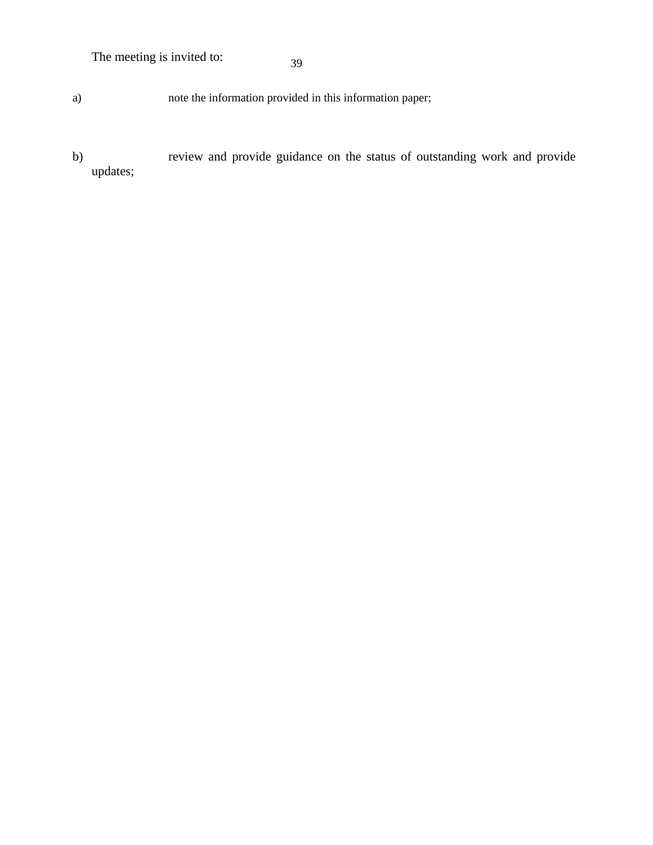The meeting is invited to:

39

a) note the information provided in this information paper;

b) review and provide guidance on the status of outstanding work and provide updates;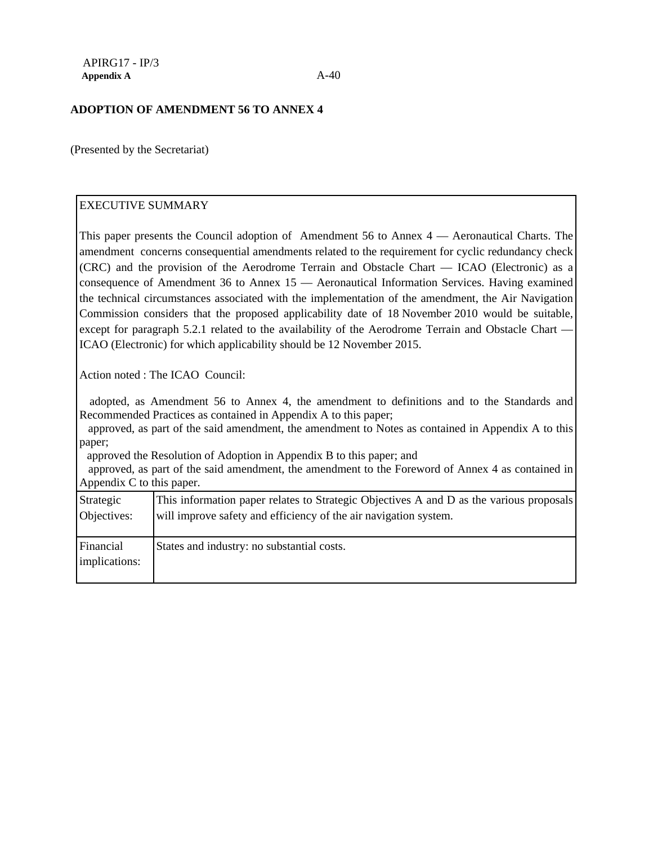#### **ADOPTION OF AMENDMENT 56 TO ANNEX 4**

(Presented by the Secretariat)

# EXECUTIVE SUMMARY

This paper presents the Council adoption of Amendment 56 to Annex 4 — Aeronautical Charts. The amendment concerns consequential amendments related to the requirement for cyclic redundancy check (CRC) and the provision of the Aerodrome Terrain and Obstacle Chart — ICAO (Electronic) as a consequence of Amendment 36 to Annex 15 — Aeronautical Information Services. Having examined the technical circumstances associated with the implementation of the amendment, the Air Navigation Commission considers that the proposed applicability date of 18 November 2010 would be suitable, except for paragraph 5.2.1 related to the availability of the Aerodrome Terrain and Obstacle Chart -ICAO (Electronic) for which applicability should be 12 November 2015.

Action noted : The ICAO Council:

 adopted, as Amendment 56 to Annex 4, the amendment to definitions and to the Standards and Recommended Practices as contained in Appendix A to this paper;

 approved, as part of the said amendment, the amendment to Notes as contained in Appendix A to this paper;

approved the Resolution of Adoption in Appendix B to this paper; and

 approved, as part of the said amendment, the amendment to the Foreword of Annex 4 as contained in Appendix C to this paper.

| Strategic                  | This information paper relates to Strategic Objectives A and D as the various proposals |
|----------------------------|-----------------------------------------------------------------------------------------|
| Objectives:                | will improve safety and efficiency of the air navigation system.                        |
| Financial<br>implications: | States and industry: no substantial costs.                                              |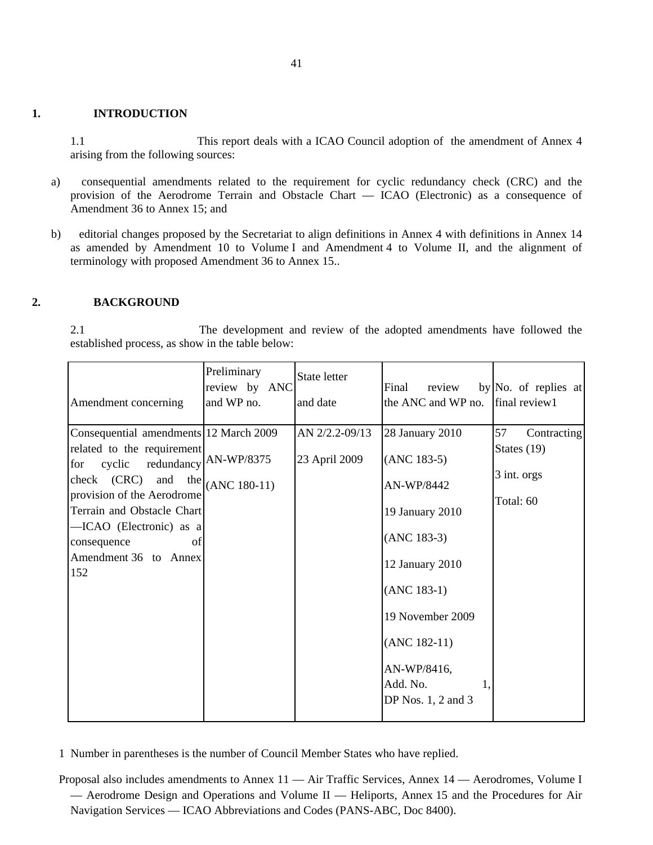#### **1. INTRODUCTION**

1.1 This report deals with a ICAO Council adoption of the amendment of Annex 4 arising from the following sources:

- a) consequential amendments related to the requirement for cyclic redundancy check (CRC) and the provision of the Aerodrome Terrain and Obstacle Chart — ICAO (Electronic) as a consequence of Amendment 36 to Annex 15; and
- b) editorial changes proposed by the Secretariat to align definitions in Annex 4 with definitions in Annex 14 as amended by Amendment 10 to Volume I and Amendment 4 to Volume II, and the alignment of terminology with proposed Amendment 36 to Annex 15..

#### **2. BACKGROUND**

2.1 The development and review of the adopted amendments have followed the established process, as show in the table below:

| Amendment concerning                                                                                                                                                                                                                                                   | Preliminary<br>review by ANC<br>and WP no. | State letter<br>and date        | Final<br>review<br>the ANC and WP no. [final review1]                                                                                                                                                             | by No. of replies at                                           |
|------------------------------------------------------------------------------------------------------------------------------------------------------------------------------------------------------------------------------------------------------------------------|--------------------------------------------|---------------------------------|-------------------------------------------------------------------------------------------------------------------------------------------------------------------------------------------------------------------|----------------------------------------------------------------|
| Consequential amendments 12 March 2009<br>related to the requirement<br>cyclic redundancy AN-WP/8375<br>for<br>check (CRC)<br>provision of the Aerodrome<br>Terrain and Obstacle Chart<br>-ICAO (Electronic) as a<br>consequence<br>of<br>Amendment 36 to Annex<br>152 | and the $ $ (ANC 180-11)                   | AN 2/2.2-09/13<br>23 April 2009 | 28 January 2010<br>$(ANC 183-5)$<br>AN-WP/8442<br>19 January 2010<br>$(ANC 183-3)$<br>12 January 2010<br>$(ANC 183-1)$<br>19 November 2009<br>$(ANC 182-11)$<br>AN-WP/8416,<br>Add. No.<br>DP Nos. $1, 2$ and $3$ | 57<br>Contracting<br>States $(19)$<br>3 int. orgs<br>Total: 60 |

1 Number in parentheses is the number of Council Member States who have replied.

Proposal also includes amendments to Annex 11 — Air Traffic Services, Annex 14 — Aerodromes, Volume I — Aerodrome Design and Operations and Volume II — Heliports, Annex 15 and the Procedures for Air Navigation Services — ICAO Abbreviations and Codes (PANS-ABC, Doc 8400).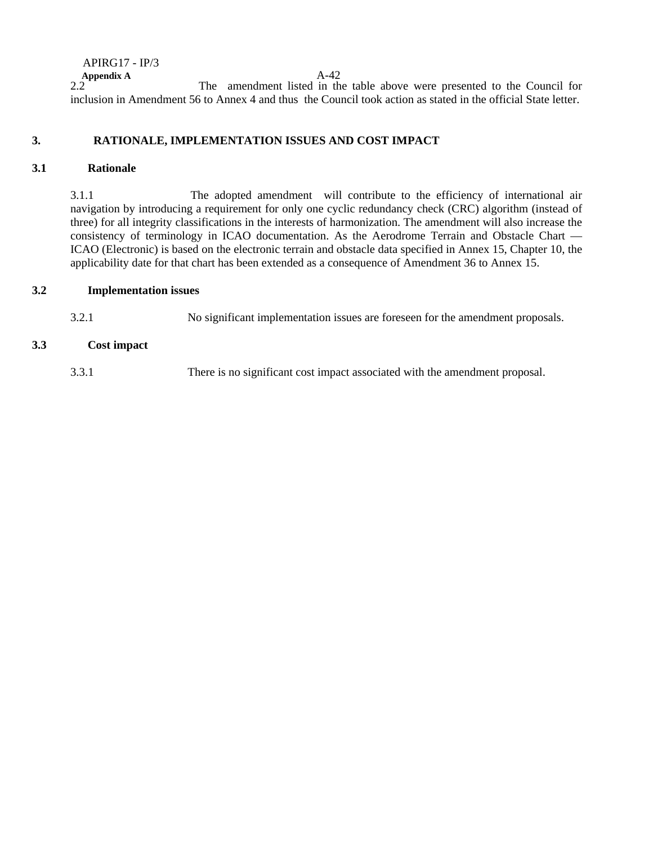APIRG17 - IP/3 **Appendix A**<br>2.2 The amendment listed in th The amendment listed in the table above were presented to the Council for inclusion in Amendment 56 to Annex 4 and thus the Council took action as stated in the official State letter.

## **3. RATIONALE, IMPLEMENTATION ISSUES AND COST IMPACT**

### **3.1 Rationale**

3.1.1 The adopted amendment will contribute to the efficiency of international air navigation by introducing a requirement for only one cyclic redundancy check (CRC) algorithm (instead of three) for all integrity classifications in the interests of harmonization. The amendment will also increase the consistency of terminology in ICAO documentation. As the Aerodrome Terrain and Obstacle Chart — ICAO (Electronic) is based on the electronic terrain and obstacle data specified in Annex 15, Chapter 10, the applicability date for that chart has been extended as a consequence of Amendment 36 to Annex 15.

#### **3.2 Implementation issues**

3.2.1 No significant implementation issues are foreseen for the amendment proposals.

### **3.3 Cost impact**

3.3.1 There is no significant cost impact associated with the amendment proposal.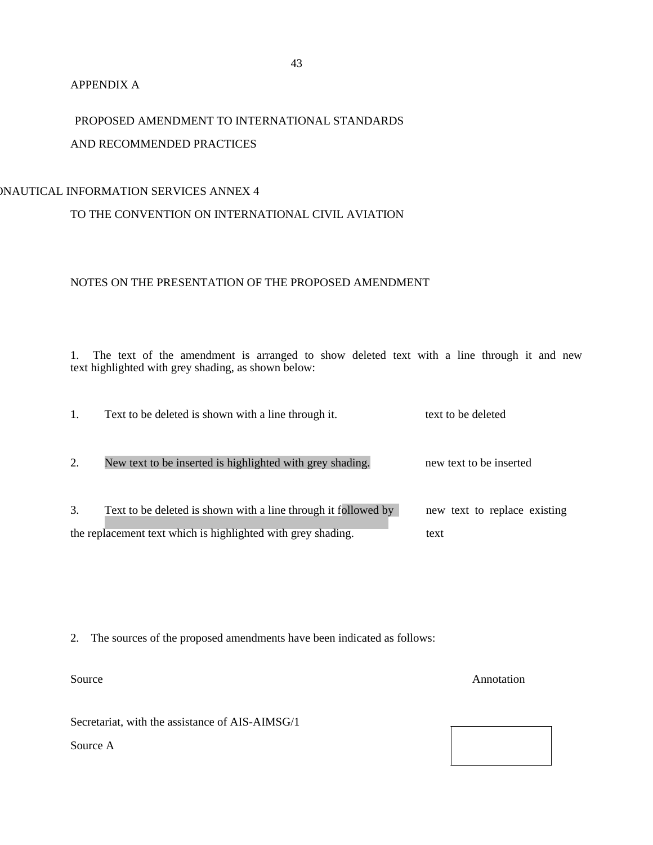#### APPENDIX A

# PROPOSED AMENDMENT TO INTERNATIONAL STANDARDS AND RECOMMENDED PRACTICES

# ONAUTICAL INFORMATION SERVICES ANNEX 4

# TO THE CONVENTION ON INTERNATIONAL CIVIL AVIATION

# NOTES ON THE PRESENTATION OF THE PROPOSED AMENDMENT

1. The text of the amendment is arranged to show deleted text with a line through it and new text highlighted with grey shading, as shown below:

|    | Text to be deleted is shown with a line through it.                                                                            | text to be deleted                   |
|----|--------------------------------------------------------------------------------------------------------------------------------|--------------------------------------|
| 2. | New text to be inserted is highlighted with grey shading.                                                                      | new text to be inserted              |
| 3. | Text to be deleted is shown with a line through it followed by<br>the replacement text which is highlighted with grey shading. | new text to replace existing<br>text |

2. The sources of the proposed amendments have been indicated as follows:

Secretariat, with the assistance of AIS-AIMSG/1

Source A

Source Annotation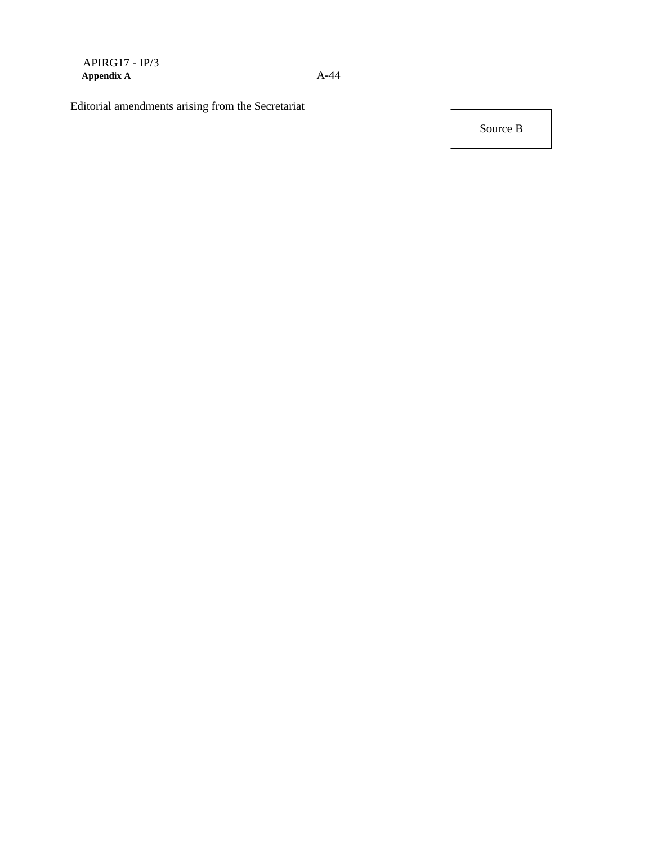Editorial amendments arising from the Secretariat

Source B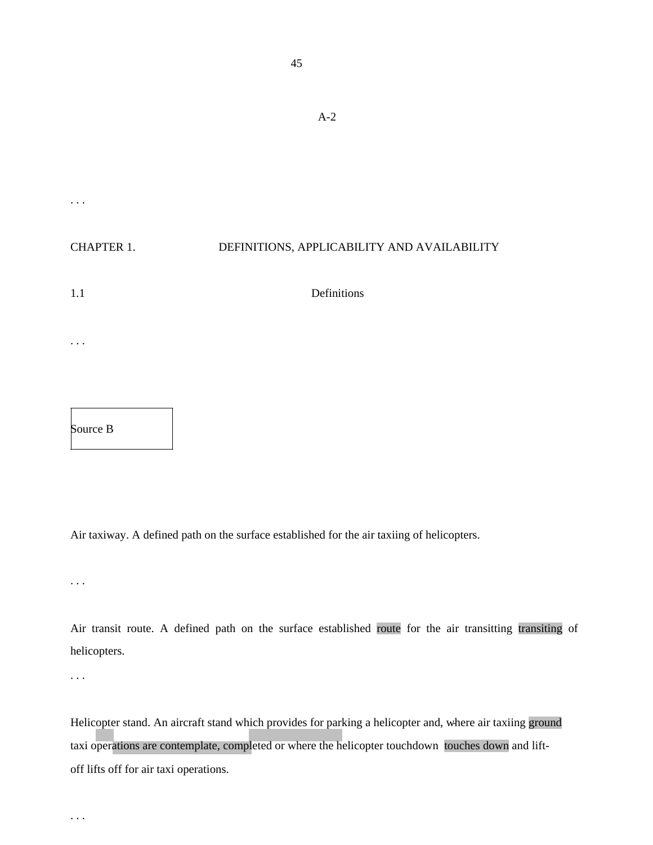| $\cdot$           |                                             |
|-------------------|---------------------------------------------|
|                   |                                             |
| <b>CHAPTER 1.</b> | DEFINITIONS, APPLICABILITY AND AVAILABILITY |
| 1.1               | Definitions                                 |
|                   |                                             |
|                   |                                             |

Air taxiway. A defined path on the surface established for the air taxiing of helicopters.

. . .

Source B

Air transit route. A defined path on the surface established route for the air transitting transiting of helicopters.

. . .

. . .

Helicopter stand. An aircraft stand which provides for parking a helicopter and, where air taxiing ground taxi operations are contemplate, completed or where the helicopter touchdown touches down and liftoff lifts off for air taxi operations.

A-2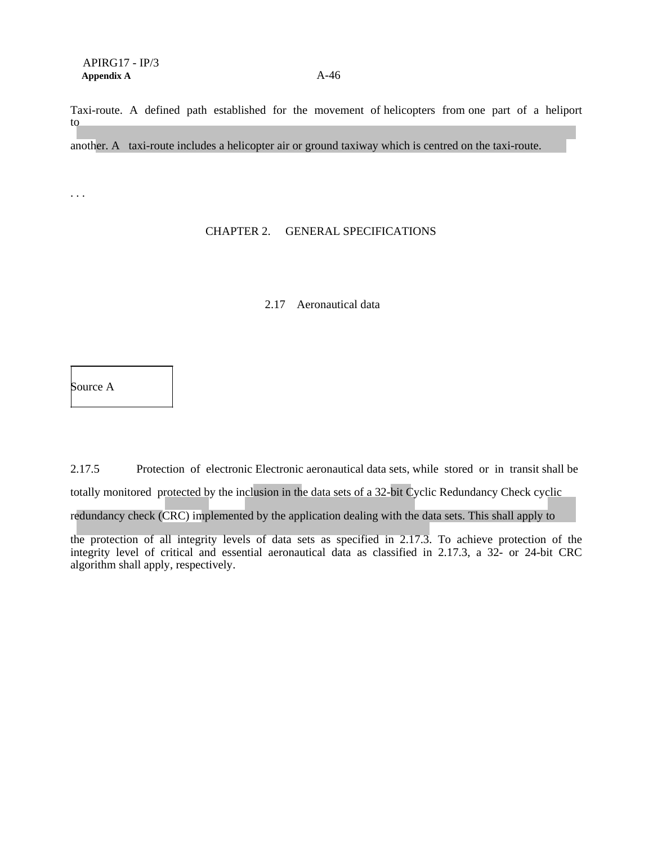Taxi-route. A defined path established for the movement of helicopters from one part of a heliport to

another. A taxi-route includes a helicopter air or ground taxiway which is centred on the taxi-route.

. . .

### CHAPTER 2. GENERAL SPECIFICATIONS

### 2.17 Aeronautical data

Source A

2.17.5 Protection of electronic Electronic aeronautical data sets, while stored or in transit shall be totally monitored protected by the inclusion in the data sets of a 32-bit Cyclic Redundancy Check cyclic redundancy check (CRC) implemented by the application dealing with the data sets. This shall apply to

the protection of all integrity levels of data sets as specified in 2.17.3. To achieve protection of the integrity level of critical and essential aeronautical data as classified in 2.17.3, a 32- or 24-bit CRC algorithm shall apply, respectively.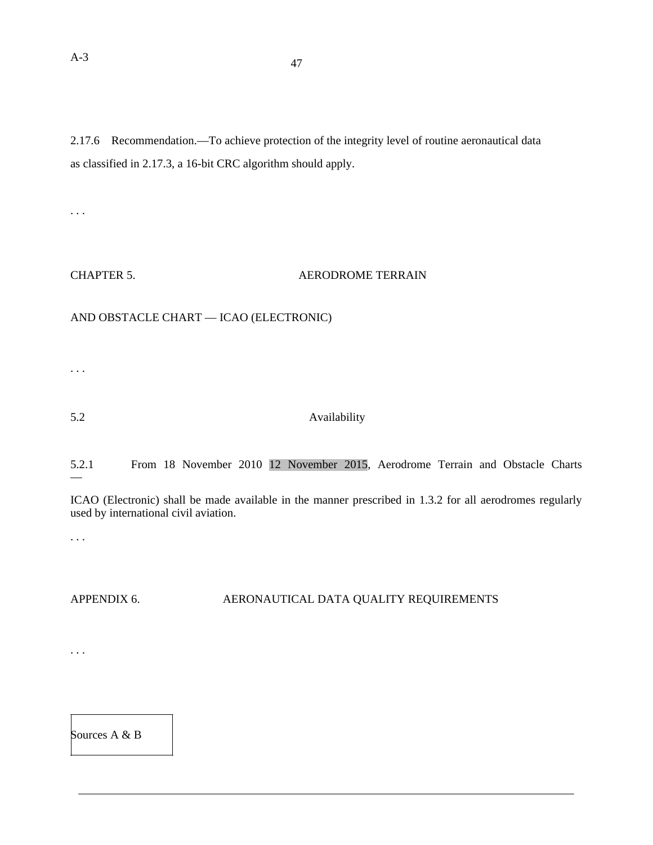2.17.6 Recommendation.—To achieve protection of the integrity level of routine aeronautical data as classified in 2.17.3, a 16-bit CRC algorithm should apply.

. . .

#### CHAPTER 5. AERODROME TERRAIN

# AND OBSTACLE CHART — ICAO (ELECTRONIC)

. . .

# 5.2 Availability

#### 5.2.1 From 18 November 2010 12 November 2015, Aerodrome Terrain and Obstacle Charts —

ICAO (Electronic) shall be made available in the manner prescribed in 1.3.2 for all aerodromes regularly used by international civil aviation.

. . .

. . .

# APPENDIX 6. AERONAUTICAL DATA QUALITY REQUIREMENTS

Sources A & B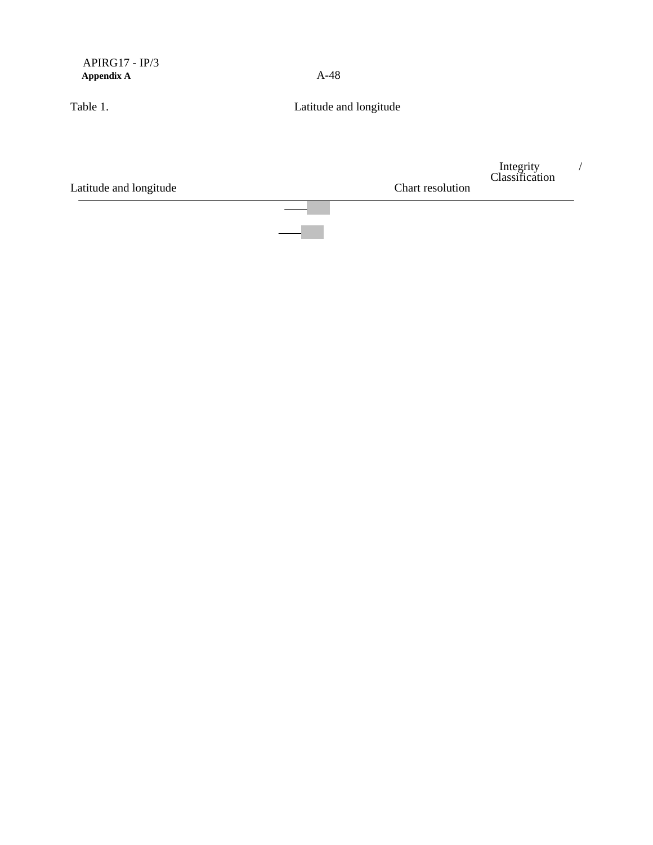| Latitude and longitude                | Chart resolution       | Integrity<br>Classification |  |
|---------------------------------------|------------------------|-----------------------------|--|
| Table 1.                              | Latitude and longitude |                             |  |
| $APIRG17 - IP/3$<br><b>Appendix A</b> | $A-48$                 |                             |  |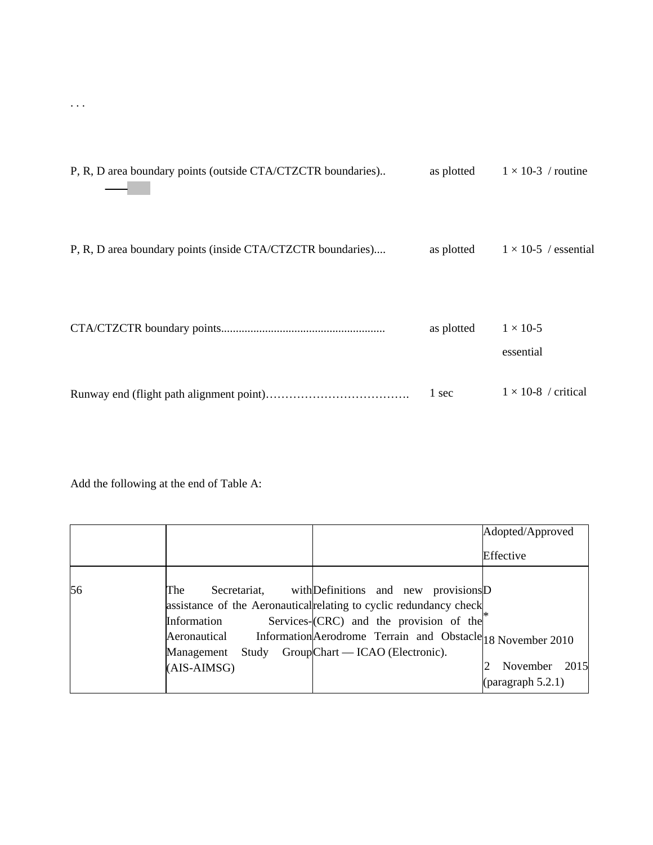| P, R, D area boundary points (outside CTA/CTZCTR boundaries) | as plotted | $1 \times 10-3$ / routine    |
|--------------------------------------------------------------|------------|------------------------------|
| P, R, D area boundary points (inside CTA/CTZCTR boundaries)  | as plotted | $1 \times 10$ -5 / essential |
|                                                              | as plotted | $1 \times 10-5$<br>essential |
|                                                              | 1 sec      | $1 \times 10-8$ / critical   |

Add the following at the end of Table A:

|    |                                                                             | Adopted/Approved  |
|----|-----------------------------------------------------------------------------|-------------------|
|    |                                                                             | Effective         |
|    |                                                                             |                   |
| 56 | with Definitions and new provisions D<br>Secretariat,<br>The                |                   |
|    | assistance of the Aeronautical relating to cyclic redundancy check          |                   |
|    | Services-(CRC) and the provision of the<br>Information                      |                   |
|    | Information Aerodrome Terrain and Obstacle 18 November 2010<br>Aeronautical |                   |
|    | GroupChart — ICAO (Electronic).<br>Management<br>Study                      |                   |
|    | $(AIS-AIMSG)$                                                               | November 2015     |
|    |                                                                             | (paragraph 5.2.1) |

. . .